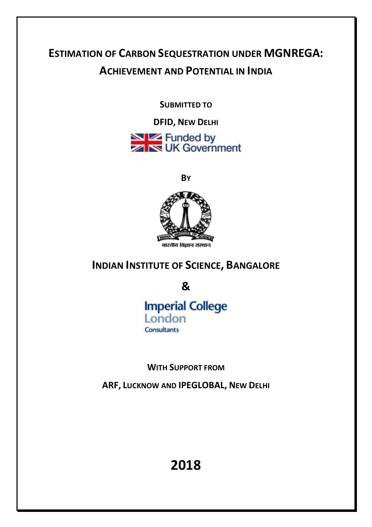# **ESTIMATION OF CARBON SEQUESTRATION UNDER MGNREGA: ACHIEVEMENT AND POTENTIAL IN INDIA**

**SUBMITTED TO**

**DFID, NEW DELHI** Exercise Funded by<br>
Exercise UK Government

**BY**



# **INDIAN INSTITUTE OF SCIENCE, BANGALORE**

**&**

**Imperial College** London **Consultants** 

**WITH SUPPORT FROM** 

**ARF, LUCKNOW AND IPEGLOBAL, NEW DELHI**

**2018**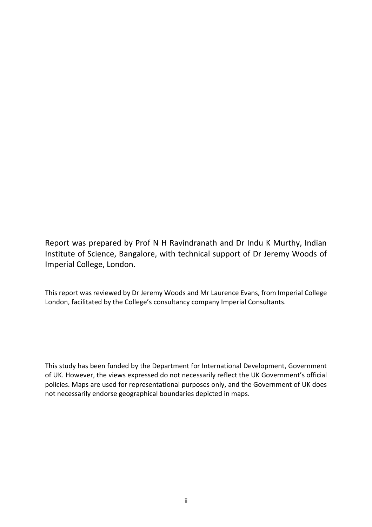Report was prepared by Prof N H Ravindranath and Dr Indu K Murthy, Indian Institute of Science, Bangalore, with technical support of Dr Jeremy Woods of Imperial College, London.

This report was reviewed by Dr Jeremy Woods and Mr Laurence Evans, from Imperial College London, facilitated by the College's consultancy company Imperial Consultants.

This study has been funded by the Department for International Development, Government of UK. However, the views expressed do not necessarily reflect the UK Government's official policies. Maps are used for representational purposes only, and the Government of UK does not necessarily endorse geographical boundaries depicted in maps.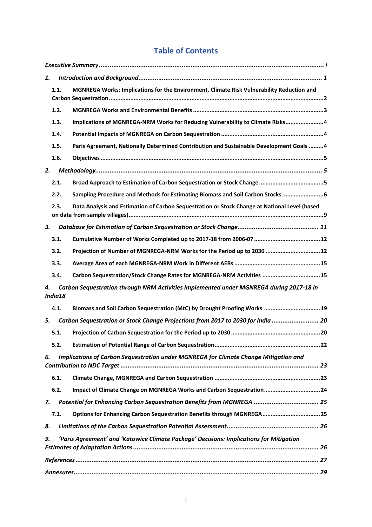## **Table of Contents**

| 1.            |      |                                                                                               |  |  |
|---------------|------|-----------------------------------------------------------------------------------------------|--|--|
|               | 1.1. | MGNREGA Works: Implications for the Environment, Climate Risk Vulnerability Reduction and     |  |  |
|               | 1.2. |                                                                                               |  |  |
|               | 1.3. | Implications of MGNREGA-NRM Works for Reducing Vulnerability to Climate Risks4                |  |  |
|               | 1.4. |                                                                                               |  |  |
|               | 1.5. | Paris Agreement, Nationally Determined Contribution and Sustainable Development Goals  4      |  |  |
|               | 1.6. |                                                                                               |  |  |
| 2.            |      |                                                                                               |  |  |
|               | 2.1. |                                                                                               |  |  |
|               | 2.2. | Sampling Procedure and Methods for Estimating Biomass and Soil Carbon Stocks  6               |  |  |
|               | 2.3. | Data Analysis and Estimation of Carbon Sequestration or Stock Change at National Level (based |  |  |
| 3.            |      |                                                                                               |  |  |
|               | 3.1. |                                                                                               |  |  |
|               | 3.2. | Projection of Number of MGNREGA-NRM Works for the Period up to 2030  12                       |  |  |
|               | 3.3. |                                                                                               |  |  |
|               | 3.4. | Carbon Sequestration/Stock Change Rates for MGNREGA-NRM Activities 15                         |  |  |
| 4.<br>India18 |      | Carbon Sequestration through NRM Activities Implemented under MGNREGA during 2017-18 in       |  |  |
|               | 4.1. | Biomass and Soil Carbon Sequestration (MtC) by Drought Proofing Works 19                      |  |  |
| 5.            |      | Carbon Sequestration or Stock Change Projections from 2017 to 2030 for India  20              |  |  |
|               | 5.1. |                                                                                               |  |  |
|               | 5.2. |                                                                                               |  |  |
| 6.            |      | Implications of Carbon Sequestration under MGNREGA for Climate Change Mitigation and          |  |  |
|               | 6.1. |                                                                                               |  |  |
|               | 6.2. | Impact of Climate Change on MGNREGA Works and Carbon Sequestration24                          |  |  |
| 7.            |      | Potential for Enhancing Carbon Sequestration Benefits from MGNREGA  25                        |  |  |
|               | 7.1. | Options for Enhancing Carbon Sequestration Benefits through MGNREGA 25                        |  |  |
| 8.            |      |                                                                                               |  |  |
| 9.            |      | 'Paris Agreement' and 'Katowice Climate Package' Decisions: Implications for Mitigation       |  |  |
|               |      |                                                                                               |  |  |
|               |      |                                                                                               |  |  |
|               |      |                                                                                               |  |  |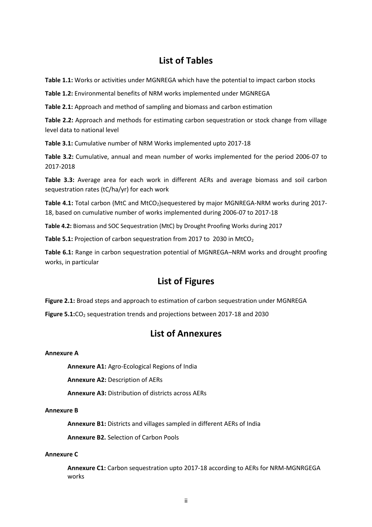## **List of Tables**

**Table 1.1:** Works or activities under MGNREGA which have the potential to impact carbon stocks

**Table 1.2:** Environmental benefits of NRM works implemented under MGNREGA

**Table 2.1:** Approach and method of sampling and biomass and carbon estimation

**Table 2.2:** Approach and methods for estimating carbon sequestration or stock change from village level data to national level

**Table 3.1:** Cumulative number of NRM Works implemented upto 2017-18

**Table 3.2:** Cumulative, annual and mean number of works implemented for the period 2006-07 to 2017-2018

**Table 3.3:** Average area for each work in different AERs and average biomass and soil carbon sequestration rates (tC/ha/yr) for each work

Table 4.1: Total carbon (MtC and MtCO<sub>2</sub>)sequestered by major MGNREGA-NRM works during 2017-18, based on cumulative number of works implemented during 2006-07 to 2017-18

**Table 4.2:** Biomass and SOC Sequestration (MtC) by Drought Proofing Works during 2017

Table 5.1: Projection of carbon sequestration from 2017 to 2030 in MtCO<sub>2</sub>

**Table 6.1:** Range in carbon sequestration potential of MGNREGA–NRM works and drought proofing works, in particular

## **List of Figures**

**Figure 2.1:** Broad steps and approach to estimation of carbon sequestration under MGNREGA

Figure 5.1:CO<sub>2</sub> sequestration trends and projections between 2017-18 and 2030

## **List of Annexures**

#### **Annexure A**

**Annexure A1:** Agro-Ecological Regions of India

**Annexure A2:** Description of AERs

**Annexure A3:** Distribution of districts across AERs

#### **Annexure B**

**Annexure B1:** Districts and villages sampled in different AERs of India

**Annexure B2.** Selection of Carbon Pools

#### **Annexure C**

**Annexure C1:** Carbon sequestration upto 2017-18 according to AERs for NRM-MGNRGEGA works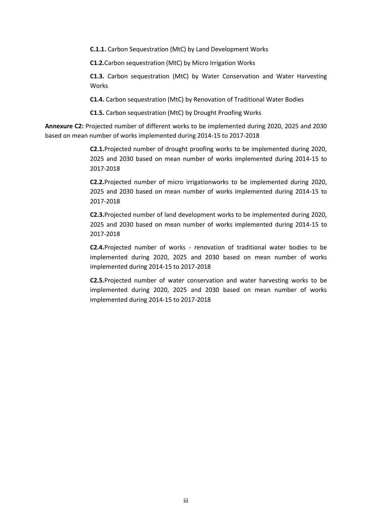**C.1.1.** Carbon Sequestration (MtC) by Land Development Works

**C1.2.**Carbon sequestration (MtC) by Micro Irrigation Works

**C1.3.** Carbon sequestration (MtC) by Water Conservation and Water Harvesting Works

**C1.4.** Carbon sequestration (MtC) by Renovation of Traditional Water Bodies

**C1.5.** Carbon sequestration (MtC) by Drought Proofing Works

**Annexure C2:** Projected number of different works to be implemented during 2020, 2025 and 2030 based on mean number of works implemented during 2014-15 to 2017-2018

> **C2.1.**Projected number of drought proofing works to be implemented during 2020, 2025 and 2030 based on mean number of works implemented during 2014-15 to 2017-2018

> **C2.2.**Projected number of micro irrigationworks to be implemented during 2020, 2025 and 2030 based on mean number of works implemented during 2014-15 to 2017-2018

> **C2.3.**Projected number of land development works to be implemented during 2020, 2025 and 2030 based on mean number of works implemented during 2014-15 to 2017-2018

> **C2.4.**Projected number of works - renovation of traditional water bodies to be implemented during 2020, 2025 and 2030 based on mean number of works implemented during 2014-15 to 2017-2018

> **C2.5.**Projected number of water conservation and water harvesting works to be implemented during 2020, 2025 and 2030 based on mean number of works implemented during 2014-15 to 2017-2018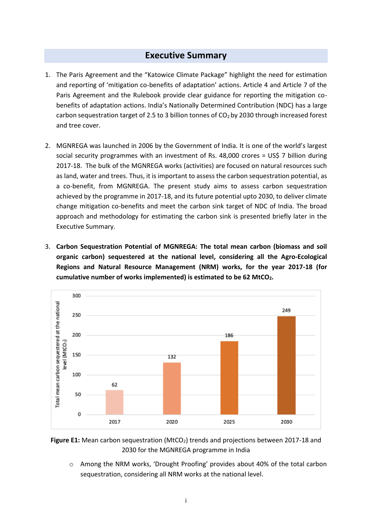## **Executive Summary**

- <span id="page-5-0"></span>1. The Paris Agreement and the "Katowice Climate Package" highlight the need for estimation and reporting of 'mitigation co-benefits of adaptation' actions. Article 4 and Article 7 of the Paris Agreement and the Rulebook provide clear guidance for reporting the mitigation cobenefits of adaptation actions. India's Nationally Determined Contribution (NDC) has a large carbon sequestration target of 2.5 to 3 billion tonnes of  $CO<sub>2</sub>$  by 2030 through increased forest and tree cover.
- 2. MGNREGA was launched in 2006 by the Government of India. It is one of the world's largest social security programmes with an investment of Rs. 48,000 crores = US\$ 7 billion during 2017-18. The bulk of the MGNREGA works (activities) are focused on natural resources such as land, water and trees. Thus, it is important to assess the carbon sequestration potential, as a co-benefit, from MGNREGA. The present study aims to assess carbon sequestration achieved by the programme in 2017-18, and its future potential upto 2030, to deliver climate change mitigation co-benefits and meet the carbon sink target of NDC of India. The broad approach and methodology for estimating the carbon sink is presented briefly later in the Executive Summary.
- 3. **Carbon Sequestration Potential of MGNREGA: The total mean carbon (biomass and soil organic carbon) sequestered at the national level, considering all the Agro-Ecological Regions and Natural Resource Management (NRM) works, for the year 2017-18 (for cumulative number of works implemented) is estimated to be 62 MtCO2.**



**Figure E1:** Mean carbon sequestration (MtCO<sub>2</sub>) trends and projections between 2017-18 and 2030 for the MGNREGA programme in India

o Among the NRM works, 'Drought Proofing' provides about 40% of the total carbon sequestration, considering all NRM works at the national level.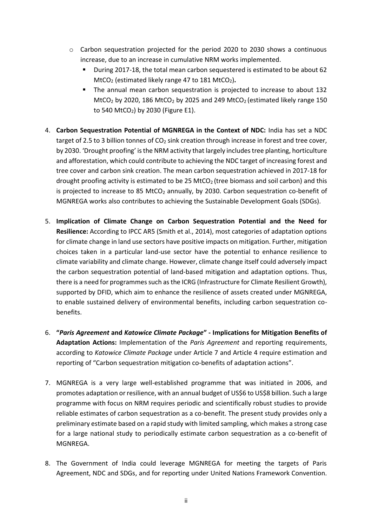- o Carbon sequestration projected for the period 2020 to 2030 shows a continuous increase, due to an increase in cumulative NRM works implemented.
	- During 2017-18, the total mean carbon sequestered is estimated to be about 62 MtCO<sub>2</sub> (estimated likely range 47 to 181 MtCO<sub>2</sub>).
	- The annual mean carbon sequestration is projected to increase to about 132 MtCO<sub>2</sub> by 2020, 186 MtCO<sub>2</sub> by 2025 and 249 MtCO<sub>2</sub> (estimated likely range 150 to 540 MtCO<sub>2</sub>) by 2030 (Figure E1).
- 4. **Carbon Sequestration Potential of MGNREGA in the Context of NDC:** India has set a NDC target of 2.5 to 3 billion tonnes of CO<sub>2</sub> sink creation through increase in forest and tree cover, by 2030. 'Drought proofing' is the NRM activity that largely includes tree planting, horticulture and afforestation, which could contribute to achieving the NDC target of increasing forest and tree cover and carbon sink creation. The mean carbon sequestration achieved in 2017-18 for drought proofing activity is estimated to be 25 MtCO<sub>2</sub> (tree biomass and soil carbon) and this is projected to increase to 85 MtCO<sub>2</sub> annually, by 2030. Carbon sequestration co-benefit of MGNREGA works also contributes to achieving the Sustainable Development Goals (SDGs).
- 5. **Implication of Climate Change on Carbon Sequestration Potential and the Need for Resilience:** According to IPCC AR5 (Smith et al., 2014), most categories of adaptation options for climate change in land use sectors have positive impacts on mitigation. Further, mitigation choices taken in a particular land-use sector have the potential to enhance resilience to climate variability and climate change. However, climate change itself could adversely impact the carbon sequestration potential of land-based mitigation and adaptation options. Thus, there is a need for programmes such as the ICRG (Infrastructure for Climate Resilient Growth), supported by DFID, which aim to enhance the resilience of assets created under MGNREGA, to enable sustained delivery of environmental benefits, including carbon sequestration cobenefits.
- 6. **"***Paris Agreement* **and** *Katowice Climate Package***" - Implications for Mitigation Benefits of Adaptation Actions:** Implementation of the *Paris Agreement* and reporting requirements, according to *Katowice Climate Package* under Article 7 and Article 4 require estimation and reporting of "Carbon sequestration mitigation co-benefits of adaptation actions".
- 7. MGNREGA is a very large well-established programme that was initiated in 2006, and promotes adaptation or resilience, with an annual budget of US\$6 to US\$8 billion. Such a large programme with focus on NRM requires periodic and scientifically robust studies to provide reliable estimates of carbon sequestration as a co-benefit. The present study provides only a preliminary estimate based on a rapid study with limited sampling, which makes a strong case for a large national study to periodically estimate carbon sequestration as a co-benefit of MGNREGA.
- 8. The Government of India could leverage MGNREGA for meeting the targets of Paris Agreement, NDC and SDGs, and for reporting under United Nations Framework Convention.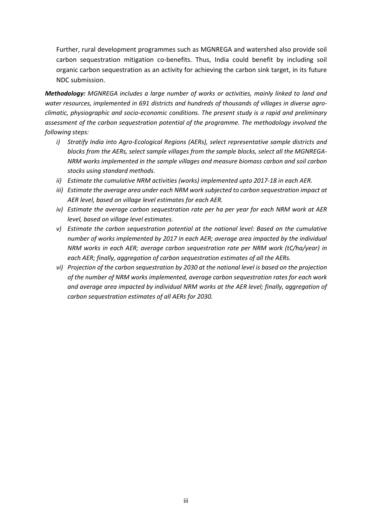Further, rural development programmes such as MGNREGA and watershed also provide soil carbon sequestration mitigation co-benefits. Thus, India could benefit by including soil organic carbon sequestration as an activity for achieving the carbon sink target, in its future NDC submission.

*Methodology: MGNREGA includes a large number of works or activities, mainly linked to land and water resources, implemented in 691 districts and hundreds of thousands of villages in diverse agroclimatic, physiographic and socio-economic conditions. The present study is a rapid and preliminary assessment of the carbon sequestration potential of the programme. The methodology involved the following steps:*

- *i) Stratify India into Agro-Ecological Regions (AERs), select representative sample districts and blocks from the AERs, select sample villages from the sample blocks, select all the MGNREGA-NRM works implemented in the sample villages and measure biomass carbon and soil carbon stocks using standard methods.*
- *ii) Estimate the cumulative NRM activities (works) implemented upto 2017-18 in each AER.*
- *iii) Estimate the average area under each NRM work subjected to carbon sequestration impact at AER level, based on village level estimates for each AER.*
- *iv) Estimate the average carbon sequestration rate per ha per year for each NRM work at AER level, based on village level estimates.*
- *v) Estimate the carbon sequestration potential at the national level: Based on the cumulative number of works implemented by 2017 in each AER; average area impacted by the individual NRM works in each AER; average carbon sequestration rate per NRM work (tC/ha/year) in each AER; finally, aggregation of carbon sequestration estimates of all the AERs.*
- *vi) Projection of the carbon sequestration by 2030 at the national level is based on the projection of the number of NRM works implemented, average carbon sequestration rates for each work and average area impacted by individual NRM works at the AER level; finally, aggregation of carbon sequestration estimates of all AERs for 2030.*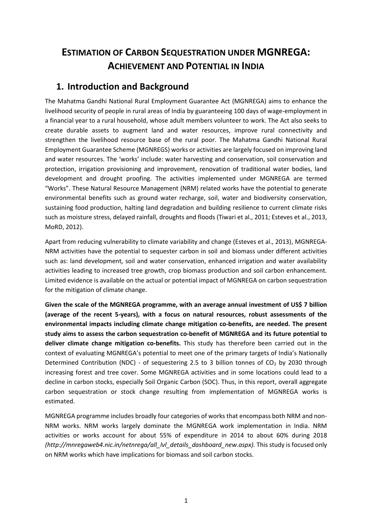## **ESTIMATION OF CARBON SEQUESTRATION UNDER MGNREGA: ACHIEVEMENT AND POTENTIAL IN INDIA**

## <span id="page-8-0"></span>**1. Introduction and Background**

The Mahatma Gandhi National Rural Employment Guarantee Act (MGNREGA) aims to enhance the livelihood security of people in rural areas of India by guaranteeing 100 days of wage-employment in a financial year to a rural household, whose adult members volunteer to work. The Act also seeks to create durable assets to augment land and water resources, improve rural connectivity and strengthen the livelihood resource base of the rural poor. The Mahatma Gandhi National Rural Employment Guarantee Scheme (MGNREGS) works or activities are largely focused on improving land and water resources. The 'works' include: water harvesting and conservation, soil conservation and protection, irrigation provisioning and improvement, renovation of traditional water bodies, land development and drought proofing. The activities implemented under MGNREGA are termed "Works". These Natural Resource Management (NRM) related works have the potential to generate environmental benefits such as ground water recharge, soil, water and biodiversity conservation, sustaining food production, halting land degradation and building resilience to current climate risks such as moisture stress, delayed rainfall, droughts and floods (Tiwari et al., 2011; Esteves et al., 2013, MoRD, 2012).

Apart from reducing vulnerability to climate variability and change (Esteves et al., 2013), MGNREGA-NRM activities have the potential to sequester carbon in soil and biomass under different activities such as: land development, soil and water conservation, enhanced irrigation and water availability activities leading to increased tree growth, crop biomass production and soil carbon enhancement. Limited evidence is available on the actual or potential impact of MGNREGA on carbon sequestration for the mitigation of climate change.

**Given the scale of the MGNREGA programme, with an average annual investment of US\$ 7 billion (average of the recent 5-years), with a focus on natural resources, robust assessments of the environmental impacts including climate change mitigation co-benefits, are needed. The present study aims to assess the carbon sequestration co-benefit of MGNREGA and its future potential to deliver climate change mitigation co-benefits.** This study has therefore been carried out in the context of evaluating MGNREGA's potential to meet one of the primary targets of India's Nationally Determined Contribution (NDC) - of sequestering 2.5 to 3 billion tonnes of  $CO<sub>2</sub>$  by 2030 through increasing forest and tree cover. Some MGNREGA activities and in some locations could lead to a decline in carbon stocks, especially Soil Organic Carbon (SOC). Thus, in this report, overall aggregate carbon sequestration or stock change resulting from implementation of MGNREGA works is estimated.

MGNREGA programme includes broadly four categories of works that encompass both NRM and non-NRM works. NRM works largely dominate the MGNREGA work implementation in India. NRM activities or works account for about 55% of expenditure in 2014 to about 60% during 2018 *[\(http://mnregaweb4.nic.in/netnrega/all\\_lvl\\_details\\_dashboard\\_new.aspx\)](http://mnregaweb4.nic.in/netnrega/all_lvl_details_dashboard_new.aspx).* This study is focused only on NRM works which have implications for biomass and soil carbon stocks.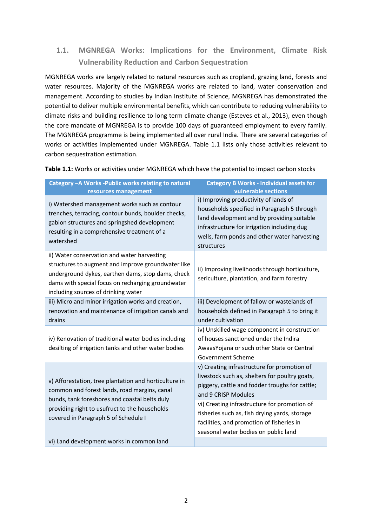## <span id="page-9-0"></span>**1.1. MGNREGA Works: Implications for the Environment, Climate Risk Vulnerability Reduction and Carbon Sequestration**

MGNREGA works are largely related to natural resources such as cropland, grazing land, forests and water resources. Majority of the MGNREGA works are related to land, water conservation and management. According to studies by Indian Institute of Science, MGNREGA has demonstrated the potential to deliver multiple environmental benefits, which can contribute to reducing vulnerability to climate risks and building resilience to long term climate change (Esteves et al., 2013), even though the core mandate of MGNREGA is to provide 100 days of guaranteed employment to every family. The MGNREGA programme is being implemented all over rural India. There are several categories of works or activities implemented under MGNREGA. Table 1.1 lists only those activities relevant to carbon sequestration estimation.

**Table 1.1:** Works or activities under MGNREGA which have the potential to impact carbon stocks

| Category - A Works - Public works relating to natural<br>resources management                                                                                                                                                                      | <b>Category B Works - Individual assets for</b><br>vulnerable sections                                                                                                                                                                          |  |  |
|----------------------------------------------------------------------------------------------------------------------------------------------------------------------------------------------------------------------------------------------------|-------------------------------------------------------------------------------------------------------------------------------------------------------------------------------------------------------------------------------------------------|--|--|
| i) Watershed management works such as contour<br>trenches, terracing, contour bunds, boulder checks,<br>gabion structures and springshed development<br>resulting in a comprehensive treatment of a<br>watershed                                   | i) Improving productivity of lands of<br>households specified in Paragraph 5 through<br>land development and by providing suitable<br>infrastructure for irrigation including dug<br>wells, farm ponds and other water harvesting<br>structures |  |  |
| ii) Water conservation and water harvesting<br>structures to augment and improve groundwater like<br>underground dykes, earthen dams, stop dams, check<br>dams with special focus on recharging groundwater<br>including sources of drinking water | ii) Improving livelihoods through horticulture,<br>sericulture, plantation, and farm forestry                                                                                                                                                   |  |  |
| iii) Micro and minor irrigation works and creation,<br>renovation and maintenance of irrigation canals and<br>drains                                                                                                                               | iii) Development of fallow or wastelands of<br>households defined in Paragraph 5 to bring it<br>under cultivation                                                                                                                               |  |  |
| iv) Renovation of traditional water bodies including<br>desilting of irrigation tanks and other water bodies                                                                                                                                       | iv) Unskilled wage component in construction<br>of houses sanctioned under the Indira<br>AwaasYojana or such other State or Central<br><b>Government Scheme</b>                                                                                 |  |  |
| v) Afforestation, tree plantation and horticulture in<br>common and forest lands, road margins, canal<br>bunds, tank foreshores and coastal belts duly                                                                                             | v) Creating infrastructure for promotion of<br>livestock such as, shelters for poultry goats,<br>piggery, cattle and fodder troughs for cattle;<br>and 9 CRISP Modules                                                                          |  |  |
| providing right to usufruct to the households<br>covered in Paragraph 5 of Schedule I                                                                                                                                                              | vi) Creating infrastructure for promotion of<br>fisheries such as, fish drying yards, storage<br>facilities, and promotion of fisheries in<br>seasonal water bodies on public land                                                              |  |  |
| vi) Land development works in common land                                                                                                                                                                                                          |                                                                                                                                                                                                                                                 |  |  |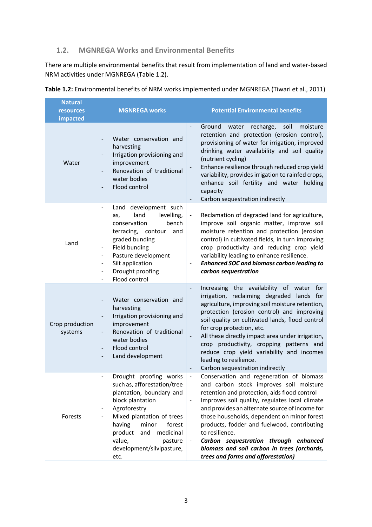### <span id="page-10-0"></span>**1.2. MGNREGA Works and Environmental Benefits**

There are multiple environmental benefits that result from implementation of land and water-based NRM activities under MGNREGA (Table 1.2).

| <b>Natural</b><br><b>resources</b><br>impacted | <b>MGNREGA works</b>                                                                                                                                                                                                                                                                                                                                                                                                    | <b>Potential Environmental benefits</b>                                                                                                                                                                                                                                                                                                                                                                                                                                                                                               |  |  |
|------------------------------------------------|-------------------------------------------------------------------------------------------------------------------------------------------------------------------------------------------------------------------------------------------------------------------------------------------------------------------------------------------------------------------------------------------------------------------------|---------------------------------------------------------------------------------------------------------------------------------------------------------------------------------------------------------------------------------------------------------------------------------------------------------------------------------------------------------------------------------------------------------------------------------------------------------------------------------------------------------------------------------------|--|--|
| Water                                          | Water conservation and<br>harvesting<br>Irrigation provisioning and<br>$\qquad \qquad \blacksquare$<br>improvement<br>Renovation of traditional<br>$\qquad \qquad \blacksquare$<br>water bodies<br>Flood control                                                                                                                                                                                                        | Ground<br>soil<br>moisture<br>water<br>recharge,<br>retention and protection (erosion control),<br>provisioning of water for irrigation, improved<br>drinking water availability and soil quality<br>(nutrient cycling)<br>Enhance resilience through reduced crop yield<br>$\qquad \qquad \blacksquare$<br>variability, provides irrigation to rainfed crops,<br>enhance soil fertility and water holding<br>capacity<br>Carbon sequestration indirectly                                                                             |  |  |
| Land                                           | Land development such<br>$\qquad \qquad \blacksquare$<br>land<br>levelling,<br>as,<br>bench<br>conservation<br>terracing, contour<br>and<br>graded bunding<br>Field bunding<br>$\qquad \qquad \blacksquare$<br>Pasture development<br>$\qquad \qquad \blacksquare$<br>Silt application<br>$\overline{\phantom{a}}$<br>Drought proofing<br>$\qquad \qquad \blacksquare$<br>Flood control<br>$\qquad \qquad \blacksquare$ | Reclamation of degraded land for agriculture,<br>improve soil organic matter, improve soil<br>moisture retention and protection (erosion<br>control) in cultivated fields, in turn improving<br>crop productivity and reducing crop yield<br>variability leading to enhance resilience.<br><b>Enhanced SOC and biomass carbon leading to</b><br>$\blacksquare$<br>carbon sequestration                                                                                                                                                |  |  |
| Crop production<br>systems                     | Water conservation and<br>harvesting<br>Irrigation provisioning and<br>$\qquad \qquad \blacksquare$<br>improvement<br>Renovation of traditional<br>$\qquad \qquad \blacksquare$<br>water bodies<br>Flood control<br>$\qquad \qquad \blacksquare$<br>Land development<br>$\qquad \qquad -$                                                                                                                               | Increasing the availability of water<br>for<br>$\blacksquare$<br>irrigation, reclaiming degraded lands for<br>agriculture, improving soil moisture retention,<br>protection (erosion control) and improving<br>soil quality on cultivated lands, flood control<br>for crop protection, etc.<br>All these directly impact area under irrigation,<br>$\qquad \qquad \blacksquare$<br>crop productivity, cropping patterns and<br>reduce crop yield variability and incomes<br>leading to resilience.<br>Carbon sequestration indirectly |  |  |
| Forests                                        | Drought proofing works<br>$\overline{\phantom{a}}$<br>such as, afforestation/tree<br>plantation, boundary and<br>block plantation<br>Agroforestry<br>$\overline{\phantom{0}}$<br>Mixed plantation of trees<br>$\overline{\phantom{0}}$<br>forest<br>having<br>minor<br>product<br>and<br>medicinal<br>value,<br>pasture<br>development/silvipasture,<br>etc.                                                            | Conservation and regeneration of biomass<br>$\overline{a}$<br>and carbon stock improves soil moisture<br>retention and protection, aids flood control<br>Improves soil quality, regulates local climate<br>$\overline{\phantom{a}}$<br>and provides an alternate source of income for<br>those households, dependent on minor forest<br>products, fodder and fuelwood, contributing<br>to resilience.<br>Carbon sequestration through enhanced<br>biomass and soil carbon in trees (orchards,<br>trees and forms and afforestation)   |  |  |

**Table 1.2:** Environmental benefits of NRM works implemented under MGNREGA (Tiwari et al., 2011)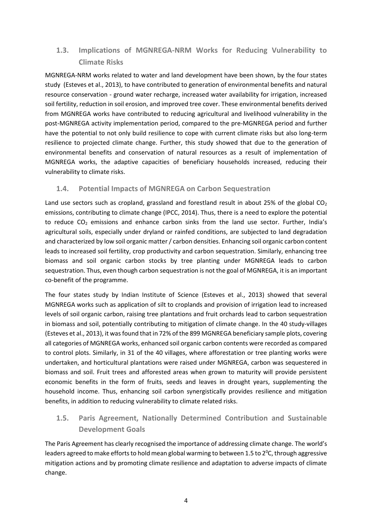### <span id="page-11-0"></span>**1.3. Implications of MGNREGA-NRM Works for Reducing Vulnerability to Climate Risks**

MGNREGA-NRM works related to water and land development have been shown, by the four states study (Esteves et al., 2013), to have contributed to generation of environmental benefits and natural resource conservation - ground water recharge, increased water availability for irrigation, increased soil fertility, reduction in soil erosion, and improved tree cover. These environmental benefits derived from MGNREGA works have contributed to reducing agricultural and livelihood vulnerability in the post-MGNREGA activity implementation period, compared to the pre-MGNREGA period and further have the potential to not only build resilience to cope with current climate risks but also long-term resilience to projected climate change. Further, this study showed that due to the generation of environmental benefits and conservation of natural resources as a result of implementation of MGNREGA works, the adaptive capacities of beneficiary households increased, reducing their vulnerability to climate risks.

### <span id="page-11-1"></span>**1.4. Potential Impacts of MGNREGA on Carbon Sequestration**

Land use sectors such as cropland, grassland and forestland result in about 25% of the global  $CO<sub>2</sub>$ emissions, contributing to climate change (IPCC, 2014). Thus, there is a need to explore the potential to reduce CO<sub>2</sub> emissions and enhance carbon sinks from the land use sector. Further, India's agricultural soils, especially under dryland or rainfed conditions, are subjected to land degradation and characterized by low soil organic matter / carbon densities. Enhancing soil organic carbon content leads to increased soil fertility, crop productivity and carbon sequestration. Similarly, enhancing tree biomass and soil organic carbon stocks by tree planting under MGNREGA leads to carbon sequestration. Thus, even though carbon sequestration is not the goal of MGNREGA, it is an important co-benefit of the programme.

The four states study by Indian Institute of Science (Esteves et al., 2013) showed that several MGNREGA works such as application of silt to croplands and provision of irrigation lead to increased levels of soil organic carbon, raising tree plantations and fruit orchards lead to carbon sequestration in biomass and soil, potentially contributing to mitigation of climate change. In the 40 study-villages (Esteves et al., 2013), it was found that in 72% of the 899 MGNREGA beneficiary sample plots, covering all categories of MGNREGA works, enhanced soil organic carbon contents were recorded as compared to control plots. Similarly, in 31 of the 40 villages, where afforestation or tree planting works were undertaken, and horticultural plantations were raised under MGNREGA, carbon was sequestered in biomass and soil. Fruit trees and afforested areas when grown to maturity will provide persistent economic benefits in the form of fruits, seeds and leaves in drought years, supplementing the household income. Thus, enhancing soil carbon synergistically provides resilience and mitigation benefits, in addition to reducing vulnerability to climate related risks.

### <span id="page-11-2"></span>**1.5. Paris Agreement, Nationally Determined Contribution and Sustainable Development Goals**

The Paris Agreement has clearly recognised the importance of addressing climate change. The world's leaders agreed to make efforts to hold mean global warming to between 1.5 to  $2^{o}C$ , through aggressive mitigation actions and by promoting climate resilience and adaptation to adverse impacts of climate change.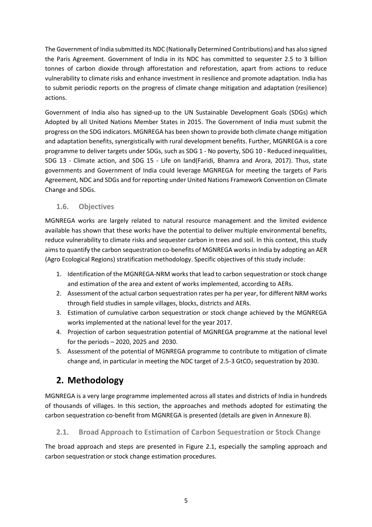The Government of India submitted its NDC (Nationally Determined Contributions) and has also signed the Paris Agreement. Government of India in its NDC has committed to sequester 2.5 to 3 billion tonnes of carbon dioxide through afforestation and reforestation, apart from actions to reduce vulnerability to climate risks and enhance investment in resilience and promote adaptation. India has to submit periodic reports on the progress of climate change mitigation and adaptation (resilience) actions.

Government of India also has signed-up to the UN Sustainable Development Goals (SDGs) which Adopted by all United Nations Member States in 2015. The Government of India must submit the progress on the SDG indicators. MGNREGA has been shown to provide both climate change mitigation and adaptation benefits, synergistically with rural development benefits. Further, MGNREGA is a core programme to deliver targets under SDGs, such as SDG 1 - No poverty, SDG 10 - Reduced inequalities, SDG 13 - Climate action, and SDG 15 - Life on land(Faridi, Bhamra and Arora, 2017). Thus, state governments and Government of India could leverage MGNREGA for meeting the targets of Paris Agreement, NDC and SDGs and for reporting under United Nations Framework Convention on Climate Change and SDGs.

### <span id="page-12-0"></span>**1.6. Objectives**

MGNREGA works are largely related to natural resource management and the limited evidence available has shown that these works have the potential to deliver multiple environmental benefits, reduce vulnerability to climate risks and sequester carbon in trees and soil. In this context, this study aims to quantify the carbon sequestration co-benefits of MGNREGA works in India by adopting an AER (Agro Ecological Regions) stratification methodology. Specific objectives of this study include:

- 1. Identification of the MGNREGA-NRM works that lead to carbon sequestration or stock change and estimation of the area and extent of works implemented, according to AERs.
- 2. Assessment of the actual carbon sequestration rates per ha per year, for different NRM works through field studies in sample villages, blocks, districts and AERs.
- 3. Estimation of cumulative carbon sequestration or stock change achieved by the MGNREGA works implemented at the national level for the year 2017.
- 4. Projection of carbon sequestration potential of MGNREGA programme at the national level for the periods – 2020, 2025 and 2030.
- 5. Assessment of the potential of MGNREGA programme to contribute to mitigation of climate change and, in particular in meeting the NDC target of 2.5-3 GtCO<sub>2</sub> sequestration by 2030.

## <span id="page-12-1"></span>**2. Methodology**

MGNREGA is a very large programme implemented across all states and districts of India in hundreds of thousands of villages. In this section, the approaches and methods adopted for estimating the carbon sequestration co-benefit from MGNREGA is presented (details are given in Annexure B).

### <span id="page-12-2"></span>**2.1. Broad Approach to Estimation of Carbon Sequestration or Stock Change**

The broad approach and steps are presented in Figure 2.1, especially the sampling approach and carbon sequestration or stock change estimation procedures.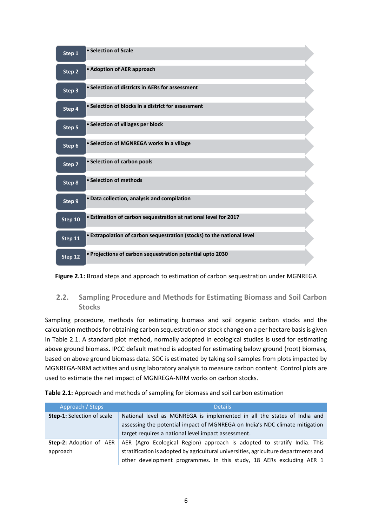| Step 1  | • Selection of Scale                                                   |  |
|---------|------------------------------------------------------------------------|--|
| Step 2  | • Adoption of AER approach                                             |  |
| Step 3  | • Selection of districts in AERs for assessment                        |  |
| Step 4  | • Selection of blocks in a district for assessment                     |  |
| Step 5  | • Selection of villages per block                                      |  |
| Step 6  | • Selection of MGNREGA works in a village                              |  |
| Step 7  | • Selection of carbon pools                                            |  |
| Step 8  | • Selection of methods                                                 |  |
| Step 9  | · Data collection, analysis and compilation                            |  |
| Step 10 | . Estimation of carbon sequestration at national level for 2017        |  |
| Step 11 | . Extrapolation of carbon sequestration (stocks) to the national level |  |
| Step 12 | . Projections of carbon sequestration potential upto 2030              |  |

**Figure 2.1:** Broad steps and approach to estimation of carbon sequestration under MGNREGA

### <span id="page-13-0"></span>**2.2. Sampling Procedure and Methods for Estimating Biomass and Soil Carbon Stocks**

Sampling procedure, methods for estimating biomass and soil organic carbon stocks and the calculation methods for obtaining carbon sequestration or stock change on a per hectare basis is given in Table 2.1. A standard plot method, normally adopted in ecological studies is used for estimating above ground biomass. IPCC default method is adopted for estimating below ground (root) biomass, based on above ground biomass data. SOC is estimated by taking soil samples from plots impacted by MGNREGA-NRM activities and using laboratory analysis to measure carbon content. Control plots are used to estimate the net impact of MGNREGA-NRM works on carbon stocks.

**Table 2.1:** Approach and methods of sampling for biomass and soil carbon estimation

| Approach / Steps                  | <b>Details</b>                                                                      |  |  |
|-----------------------------------|-------------------------------------------------------------------------------------|--|--|
| <b>Step-1:</b> Selection of scale | National level as MGNREGA is implemented in all the states of India and             |  |  |
|                                   | assessing the potential impact of MGNREGA on India's NDC climate mitigation         |  |  |
|                                   | target requires a national level impact assessment.                                 |  |  |
| <b>Step-2:</b> Adoption of AER    | AER (Agro Ecological Region) approach is adopted to stratify India. This            |  |  |
| approach                          | stratification is adopted by agricultural universities, agriculture departments and |  |  |
|                                   | other development programmes. In this study, 18 AERs excluding AER 1                |  |  |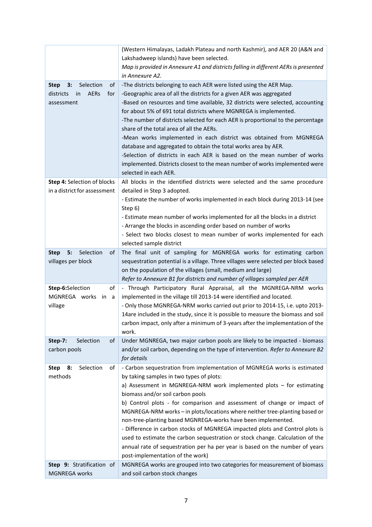|                                      | (Western Himalayas, Ladakh Plateau and north Kashmir), and AER 20 (A&N and                                                           |  |  |  |
|--------------------------------------|--------------------------------------------------------------------------------------------------------------------------------------|--|--|--|
|                                      | Lakshadweep islands) have been selected.                                                                                             |  |  |  |
|                                      | Map is provided in Annexure A1 and districts falling in different AERs is presented                                                  |  |  |  |
|                                      | in Annexure A2.                                                                                                                      |  |  |  |
| Selection<br>3:<br>of<br><b>Step</b> | -The districts belonging to each AER were listed using the AER Map.                                                                  |  |  |  |
| districts<br>in<br>AERs<br>for       | -Geographic area of all the districts for a given AER was aggregated                                                                 |  |  |  |
| assessment                           | -Based on resources and time available, 32 districts were selected, accounting                                                       |  |  |  |
|                                      | for about 5% of 691 total districts where MGNREGA is implemented.                                                                    |  |  |  |
|                                      | -The number of districts selected for each AER is proportional to the percentage<br>share of the total area of all the AERs.         |  |  |  |
|                                      | -Mean works implemented in each district was obtained from MGNREGA<br>database and aggregated to obtain the total works area by AER. |  |  |  |
|                                      | -Selection of districts in each AER is based on the mean number of works                                                             |  |  |  |
|                                      | implemented. Districts closest to the mean number of works implemented were                                                          |  |  |  |
|                                      | selected in each AER.                                                                                                                |  |  |  |
| Step 4: Selection of blocks          | All blocks in the identified districts were selected and the same procedure                                                          |  |  |  |
| in a district for assessment         | detailed in Step 3 adopted.                                                                                                          |  |  |  |
|                                      | - Estimate the number of works implemented in each block during 2013-14 (see<br>Step 6)                                              |  |  |  |
|                                      | - Estimate mean number of works implemented for all the blocks in a district                                                         |  |  |  |
|                                      | - Arrange the blocks in ascending order based on number of works                                                                     |  |  |  |
|                                      | - Select two blocks closest to mean number of works implemented for each                                                             |  |  |  |
|                                      | selected sample district                                                                                                             |  |  |  |
| Selection<br>5:<br>of<br><b>Step</b> | The final unit of sampling for MGNREGA works for estimating carbon                                                                   |  |  |  |
| villages per block                   | sequestration potential is a village. Three villages were selected per block based                                                   |  |  |  |
|                                      | on the population of the villages (small, medium and large)                                                                          |  |  |  |
|                                      | Refer to Annexure B1 for districts and number of villages sampled per AER                                                            |  |  |  |
| Step-6:Selection<br>of               | - Through Participatory Rural Appraisal, all the MGNREGA-NRM works                                                                   |  |  |  |
| MGNREGA works<br>in a                | implemented in the village till 2013-14 were identified and located.                                                                 |  |  |  |
| village                              | - Only those MGNREGA-NRM works carried out prior to 2014-15, i.e. upto 2013-                                                         |  |  |  |
|                                      | 14are included in the study, since it is possible to measure the biomass and soil                                                    |  |  |  |
|                                      | carbon impact, only after a minimum of 3-years after the implementation of the                                                       |  |  |  |
|                                      | work.                                                                                                                                |  |  |  |
| of<br>Step-7:<br>Selection           | Under MGNREGA, two major carbon pools are likely to be impacted - biomass                                                            |  |  |  |
| carbon pools                         | and/or soil carbon, depending on the type of intervention. Refer to Annexure B2                                                      |  |  |  |
|                                      | for details                                                                                                                          |  |  |  |
| Selection<br>8:<br><b>Step</b><br>of | - Carbon sequestration from implementation of MGNREGA works is estimated                                                             |  |  |  |
| methods                              | by taking samples in two types of plots:                                                                                             |  |  |  |
|                                      | a) Assessment in MGNREGA-NRM work implemented plots - for estimating                                                                 |  |  |  |
|                                      | biomass and/or soil carbon pools                                                                                                     |  |  |  |
|                                      | b) Control plots - for comparison and assessment of change or impact of                                                              |  |  |  |
|                                      | MGNREGA-NRM works - in plots/locations where neither tree-planting based or                                                          |  |  |  |
|                                      | non-tree-planting based MGNREGA-works have been implemented.                                                                         |  |  |  |
|                                      | - Difference in carbon stocks of MGNREGA impacted plots and Control plots is                                                         |  |  |  |
|                                      | used to estimate the carbon sequestration or stock change. Calculation of the                                                        |  |  |  |
|                                      | annual rate of sequestration per ha per year is based on the number of years                                                         |  |  |  |
|                                      | post-implementation of the work)                                                                                                     |  |  |  |
| Step 9: Stratification of            | MGNREGA works are grouped into two categories for measurement of biomass                                                             |  |  |  |
| MGNREGA works                        | and soil carbon stock changes                                                                                                        |  |  |  |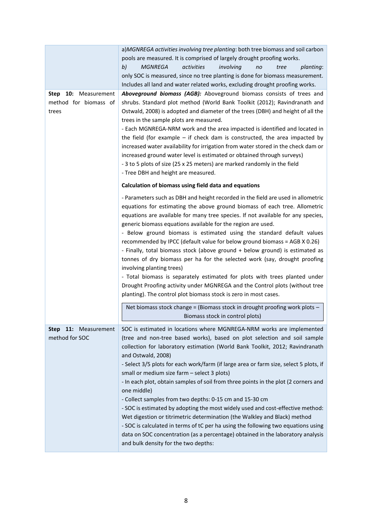|                         | a)MGNREGA activities involving tree planting: both tree biomass and soil carbon                                                                                |  |  |  |  |  |
|-------------------------|----------------------------------------------------------------------------------------------------------------------------------------------------------------|--|--|--|--|--|
|                         | pools are measured. It is comprised of largely drought proofing works.                                                                                         |  |  |  |  |  |
|                         | b)<br><b>MGNREGA</b><br>activities<br>involving<br>planting:<br>no<br>tree                                                                                     |  |  |  |  |  |
|                         | only SOC is measured, since no tree planting is done for biomass measurement.                                                                                  |  |  |  |  |  |
|                         | Includes all land and water related works, excluding drought proofing works.                                                                                   |  |  |  |  |  |
| 10: Measurement<br>Step | Aboveground biomass (AGB): Aboveground biomass consists of trees and                                                                                           |  |  |  |  |  |
| method for biomass of   | shrubs. Standard plot method (World Bank Toolkit (2012); Ravindranath and                                                                                      |  |  |  |  |  |
| trees                   | Ostwald, 2008) is adopted and diameter of the trees (DBH) and height of all the                                                                                |  |  |  |  |  |
|                         | trees in the sample plots are measured.                                                                                                                        |  |  |  |  |  |
|                         | - Each MGNREGA-NRM work and the area impacted is identified and located in                                                                                     |  |  |  |  |  |
|                         | the field (for example $-$ if check dam is constructed, the area impacted by                                                                                   |  |  |  |  |  |
|                         | increased water availability for irrigation from water stored in the check dam or                                                                              |  |  |  |  |  |
|                         | increased ground water level is estimated or obtained through surveys)                                                                                         |  |  |  |  |  |
|                         | - 3 to 5 plots of size (25 x 25 meters) are marked randomly in the field                                                                                       |  |  |  |  |  |
|                         | - Tree DBH and height are measured.                                                                                                                            |  |  |  |  |  |
|                         | Calculation of biomass using field data and equations                                                                                                          |  |  |  |  |  |
|                         |                                                                                                                                                                |  |  |  |  |  |
|                         | - Parameters such as DBH and height recorded in the field are used in allometric<br>equations for estimating the above ground biomass of each tree. Allometric |  |  |  |  |  |
|                         | equations are available for many tree species. If not available for any species,                                                                               |  |  |  |  |  |
|                         | generic biomass equations available for the region are used.                                                                                                   |  |  |  |  |  |
|                         | - Below ground biomass is estimated using the standard default values                                                                                          |  |  |  |  |  |
|                         | recommended by IPCC (default value for below ground biomass = AGB X 0.26)                                                                                      |  |  |  |  |  |
|                         | - Finally, total biomass stock (above ground + below ground) is estimated as                                                                                   |  |  |  |  |  |
|                         | tonnes of dry biomass per ha for the selected work (say, drought proofing                                                                                      |  |  |  |  |  |
|                         | involving planting trees)                                                                                                                                      |  |  |  |  |  |
|                         | - Total biomass is separately estimated for plots with trees planted under                                                                                     |  |  |  |  |  |
|                         | Drought Proofing activity under MGNREGA and the Control plots (without tree                                                                                    |  |  |  |  |  |
|                         | planting). The control plot biomass stock is zero in most cases.                                                                                               |  |  |  |  |  |
|                         | Net biomass stock change = (Biomass stock in drought proofing work plots -                                                                                     |  |  |  |  |  |
|                         | Biomass stock in control plots)                                                                                                                                |  |  |  |  |  |
| Step 11: Measurement    | SOC is estimated in locations where MGNREGA-NRM works are implemented                                                                                          |  |  |  |  |  |
| method for SOC          | (tree and non-tree based works), based on plot selection and soil sample                                                                                       |  |  |  |  |  |
|                         | collection for laboratory estimation (World Bank Toolkit, 2012; Ravindranath<br>and Ostwald, 2008)                                                             |  |  |  |  |  |
|                         | - Select 3/5 plots for each work/farm (if large area or farm size, select 5 plots, if                                                                          |  |  |  |  |  |
|                         | small or medium size farm - select 3 plots)                                                                                                                    |  |  |  |  |  |
|                         | - In each plot, obtain samples of soil from three points in the plot (2 corners and                                                                            |  |  |  |  |  |
|                         | one middle)                                                                                                                                                    |  |  |  |  |  |
|                         | - Collect samples from two depths: 0-15 cm and 15-30 cm                                                                                                        |  |  |  |  |  |
|                         | - SOC is estimated by adopting the most widely used and cost-effective method:                                                                                 |  |  |  |  |  |
|                         | Wet digestion or titrimetric determination (the Walkley and Black) method                                                                                      |  |  |  |  |  |
|                         | - SOC is calculated in terms of tC per ha using the following two equations using                                                                              |  |  |  |  |  |
|                         | data on SOC concentration (as a percentage) obtained in the laboratory analysis                                                                                |  |  |  |  |  |
|                         | and bulk density for the two depths:                                                                                                                           |  |  |  |  |  |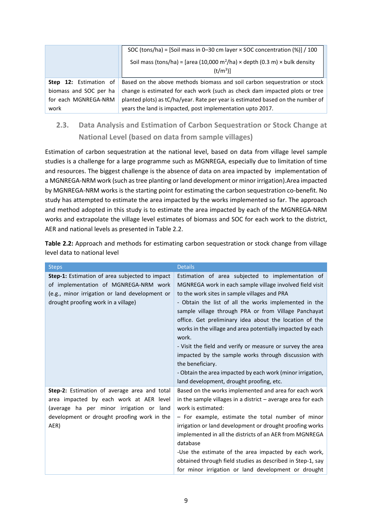|                               | SOC (tons/ha) = [Soil mass in 0-30 cm layer $\times$ SOC concentration (%)] / 100<br>Soil mass (tons/ha) = [area (10,000 m <sup>2</sup> /ha) × depth (0.3 m) × bulk density |  |  |
|-------------------------------|-----------------------------------------------------------------------------------------------------------------------------------------------------------------------------|--|--|
|                               | (t/m <sup>3</sup> )                                                                                                                                                         |  |  |
|                               |                                                                                                                                                                             |  |  |
| <b>Step 12:</b> Estimation of | Based on the above methods biomass and soil carbon sequestration or stock                                                                                                   |  |  |
| biomass and SOC per ha        | change is estimated for each work (such as check dam impacted plots or tree                                                                                                 |  |  |
| for each MGNREGA-NRM          | planted plots) as tC/ha/year. Rate per year is estimated based on the number of                                                                                             |  |  |
| work                          | years the land is impacted, post implementation upto 2017.                                                                                                                  |  |  |

## <span id="page-16-0"></span>**2.3. Data Analysis and Estimation of Carbon Sequestration or Stock Change at National Level (based on data from sample villages)**

Estimation of carbon sequestration at the national level, based on data from village level sample studies is a challenge for a large programme such as MGNREGA, especially due to limitation of time and resources. The biggest challenge is the absence of data on area impacted by implementation of a MGNREGA-NRM work (such as tree planting or land development or minor irrigation).Area impacted by MGNREGA-NRM works is the starting point for estimating the carbon sequestration co-benefit. No study has attempted to estimate the area impacted by the works implemented so far. The approach and method adopted in this study is to estimate the area impacted by each of the MGNREGA-NRM works and extrapolate the village level estimates of biomass and SOC for each work to the district, AER and national levels as presented in Table 2.2.

| <b>Steps</b>                                                                                                                                                                               | <b>Details</b>                                                                                                                                                                                                                                                                                                                                                                                                                                                                                                                                                                                                          |
|--------------------------------------------------------------------------------------------------------------------------------------------------------------------------------------------|-------------------------------------------------------------------------------------------------------------------------------------------------------------------------------------------------------------------------------------------------------------------------------------------------------------------------------------------------------------------------------------------------------------------------------------------------------------------------------------------------------------------------------------------------------------------------------------------------------------------------|
| <b>Step-1:</b> Estimation of area subjected to impact<br>of implementation of MGNREGA-NRM work<br>(e.g., minor irrigation or land development or<br>drought proofing work in a village)    | Estimation of area subjected to implementation of<br>MGNREGA work in each sample village involved field visit<br>to the work sites in sample villages and PRA<br>- Obtain the list of all the works implemented in the<br>sample village through PRA or from Village Panchayat<br>office. Get preliminary idea about the location of the<br>works in the village and area potentially impacted by each<br>work.<br>- Visit the field and verify or measure or survey the area<br>impacted by the sample works through discussion with<br>the beneficiary.<br>- Obtain the area impacted by each work (minor irrigation, |
| Step-2: Estimation of average area and total<br>area impacted by each work at AER level<br>(average ha per minor irrigation or land<br>development or drought proofing work in the<br>AER) | land development, drought proofing, etc.<br>Based on the works implemented and area for each work<br>in the sample villages in a district $-$ average area for each<br>work is estimated:<br>- For example, estimate the total number of minor<br>irrigation or land development or drought proofing works<br>implemented in all the districts of an AER from MGNREGA<br>database<br>-Use the estimate of the area impacted by each work,<br>obtained through field studies as described in Step-1, say<br>for minor irrigation or land development or drought                                                          |

**Table 2.2:** Approach and methods for estimating carbon sequestration or stock change from village level data to national level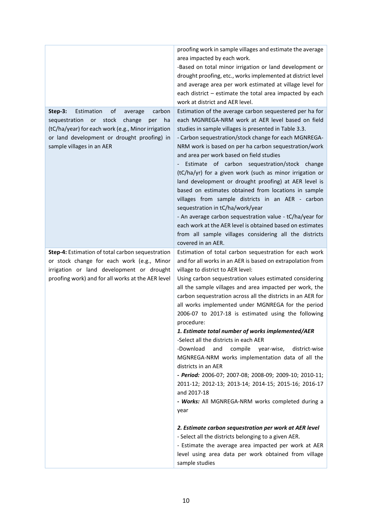|                                                    | proofing work in sample villages and estimate the average                             |
|----------------------------------------------------|---------------------------------------------------------------------------------------|
|                                                    | area impacted by each work.                                                           |
|                                                    | -Based on total minor irrigation or land development or                               |
|                                                    | drought proofing, etc., works implemented at district level                           |
|                                                    | and average area per work estimated at village level for                              |
|                                                    | each district - estimate the total area impacted by each                              |
|                                                    | work at district and AER level.                                                       |
| Estimation<br>Step-3:<br>of<br>carbon<br>average   | Estimation of the average carbon sequestered per ha for                               |
| sequestration or<br>stock<br>change<br>per<br>ha   | each MGNREGA-NRM work at AER level based on field                                     |
| (tC/ha/year) for each work (e.g., Minor irrigation | studies in sample villages is presented in Table 3.3.                                 |
| or land development or drought proofing) in        | - Carbon sequestration/stock change for each MGNREGA-                                 |
| sample villages in an AER                          | NRM work is based on per ha carbon sequestration/work                                 |
|                                                    | and area per work based on field studies                                              |
|                                                    | Estimate of carbon sequestration/stock change                                         |
|                                                    | (tC/ha/yr) for a given work (such as minor irrigation or                              |
|                                                    | land development or drought proofing) at AER level is                                 |
|                                                    | based on estimates obtained from locations in sample                                  |
|                                                    | villages from sample districts in an AER - carbon<br>sequestration in tC/ha/work/year |
|                                                    | - An average carbon sequestration value - tC/ha/year for                              |
|                                                    | each work at the AER level is obtained based on estimates                             |
|                                                    | from all sample villages considering all the districts                                |
|                                                    | covered in an AER.                                                                    |
| Step-4: Estimation of total carbon sequestration   | Estimation of total carbon sequestration for each work                                |
| or stock change for each work (e.g., Minor         | and for all works in an AER is based on extrapolation from                            |
| irrigation or land development or drought          | village to district to AER level:                                                     |
| proofing work) and for all works at the AER level  | Using carbon sequestration values estimated considering                               |
|                                                    | all the sample villages and area impacted per work, the                               |
|                                                    | carbon sequestration across all the districts in an AER for                           |
|                                                    | all works implemented under MGNREGA for the period                                    |
|                                                    | 2006-07 to 2017-18 is estimated using the following                                   |
|                                                    | procedure:                                                                            |
|                                                    | 1. Estimate total number of works implemented/AER                                     |
|                                                    | -Select all the districts in each AER                                                 |
|                                                    | -Download<br>compile<br>and<br>year-wise,<br>district-wise                            |
|                                                    | MGNREGA-NRM works implementation data of all the                                      |
|                                                    | districts in an AER                                                                   |
|                                                    | - Period: 2006-07; 2007-08; 2008-09; 2009-10; 2010-11;                                |
|                                                    | 2011-12; 2012-13; 2013-14; 2014-15; 2015-16; 2016-17<br>and 2017-18                   |
|                                                    | - Works: All MGNREGA-NRM works completed during a                                     |
|                                                    | year                                                                                  |
|                                                    |                                                                                       |
|                                                    | 2. Estimate carbon sequestration per work at AER level                                |
|                                                    | - Select all the districts belonging to a given AER.                                  |
|                                                    | - Estimate the average area impacted per work at AER                                  |
|                                                    | level using area data per work obtained from village                                  |
|                                                    | sample studies                                                                        |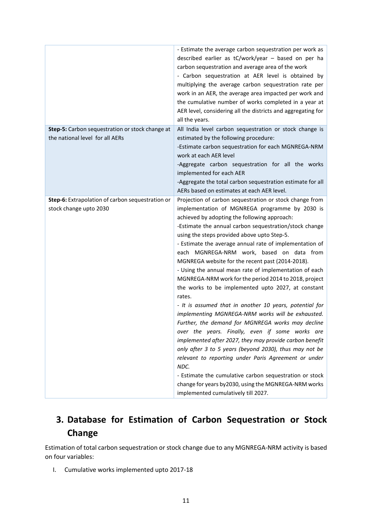|                                                                                    | - Estimate the average carbon sequestration per work as<br>described earlier as tC/work/year - based on per ha<br>carbon sequestration and average area of the work<br>- Carbon sequestration at AER level is obtained by<br>multiplying the average carbon sequestration rate per<br>work in an AER, the average area impacted per work and<br>the cumulative number of works completed in a year at<br>AER level, considering all the districts and aggregating for<br>all the years.                                                                                                                                                                                                                                                                                                                                                                                                                                                                                                                                                                                                                                                                                                   |
|------------------------------------------------------------------------------------|-------------------------------------------------------------------------------------------------------------------------------------------------------------------------------------------------------------------------------------------------------------------------------------------------------------------------------------------------------------------------------------------------------------------------------------------------------------------------------------------------------------------------------------------------------------------------------------------------------------------------------------------------------------------------------------------------------------------------------------------------------------------------------------------------------------------------------------------------------------------------------------------------------------------------------------------------------------------------------------------------------------------------------------------------------------------------------------------------------------------------------------------------------------------------------------------|
| Step-5: Carbon sequestration or stock change at<br>the national level for all AERs | All India level carbon sequestration or stock change is<br>estimated by the following procedure:<br>-Estimate carbon sequestration for each MGNREGA-NRM<br>work at each AER level<br>-Aggregate carbon sequestration for all the works<br>implemented for each AER<br>-Aggregate the total carbon sequestration estimate for all<br>AERs based on estimates at each AER level.                                                                                                                                                                                                                                                                                                                                                                                                                                                                                                                                                                                                                                                                                                                                                                                                            |
| Step-6: Extrapolation of carbon sequestration or<br>stock change upto 2030         | Projection of carbon sequestration or stock change from<br>implementation of MGNREGA programme by 2030 is<br>achieved by adopting the following approach:<br>-Estimate the annual carbon sequestration/stock change<br>using the steps provided above upto Step-5.<br>- Estimate the average annual rate of implementation of<br>each MGNREGA-NRM work, based on data from<br>MGNREGA website for the recent past (2014-2018).<br>- Using the annual mean rate of implementation of each<br>MGNREGA-NRM work for the period 2014 to 2018, project<br>the works to be implemented upto 2027, at constant<br>rates.<br>- It is assumed that in another 10 years, potential for<br>implementing MGNREGA-NRM works will be exhausted.<br>Further, the demand for MGNREGA works may decline<br>over the years. Finally, even if some works are<br>implemented after 2027, they may provide carbon benefit<br>only after 3 to 5 years (beyond 2030), thus may not be<br>relevant to reporting under Paris Agreement or under<br>NDC.<br>- Estimate the cumulative carbon sequestration or stock<br>change for years by 2030, using the MGNREGA-NRM works<br>implemented cumulatively till 2027. |

## <span id="page-18-0"></span>**3. Database for Estimation of Carbon Sequestration or Stock Change**

Estimation of total carbon sequestration or stock change due to any MGNREGA-NRM activity is based on four variables:

I. Cumulative works implemented upto 2017-18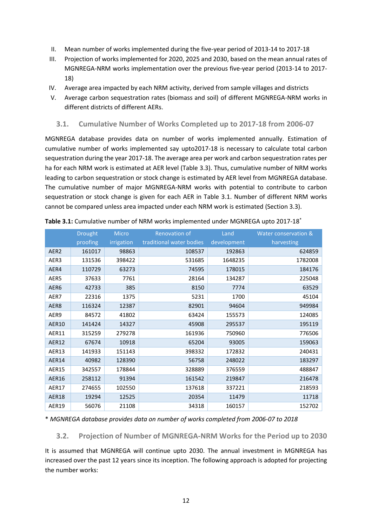- II. Mean number of works implemented during the five-year period of 2013-14 to 2017-18
- III. Projection of works implemented for 2020, 2025 and 2030, based on the mean annual rates of MGNREGA-NRM works implementation over the previous five-year period (2013-14 to 2017- 18)
- IV. Average area impacted by each NRM activity, derived from sample villages and districts
- V. Average carbon sequestration rates (biomass and soil) of different MGNREGA-NRM works in different districts of different AERs.

#### <span id="page-19-0"></span>**3.1. Cumulative Number of Works Completed up to 2017-18 from 2006-07**

MGNREGA database provides data on number of works implemented annually. Estimation of cumulative number of works implemented say upto2017-18 is necessary to calculate total carbon sequestration during the year 2017-18. The average area per work and carbon sequestration rates per ha for each NRM work is estimated at AER level (Table 3.3). Thus, cumulative number of NRM works leading to carbon sequestration or stock change is estimated by AER level from MGNREGA database. The cumulative number of major MGNREGA-NRM works with potential to contribute to carbon sequestration or stock change is given for each AER in Table 3.1. Number of different NRM works cannot be compared unless area impacted under each NRM work is estimated (Section 3.3).

|                  | <b>Drought</b> | <b>Micro</b> | <b>Renovation of</b>     | Land        | Water conservation & |
|------------------|----------------|--------------|--------------------------|-------------|----------------------|
|                  | proofing       | irrigation   | traditional water bodies | development | harvesting           |
| AER <sub>2</sub> | 161017         | 98863        | 108537                   | 192863      | 624859               |
| AER3             | 131536         | 398422       | 531685                   | 1648235     | 1782008              |
| AER4             | 110729         | 63273        | 74595                    | 178015      | 184176               |
| AER5             | 37633          | 7761         | 28164                    | 134287      | 225048               |
| AER6             | 42733          | 385          | 8150                     | 7774        | 63529                |
| AER7             | 22316          | 1375         | 5231                     | 1700        | 45104                |
| AER8             | 116324         | 12387        | 82901                    | 94604       | 949984               |
| AER9             | 84572          | 41802        | 63424                    | 155573      | 124085               |
| <b>AER10</b>     | 141424         | 14327        | 45908                    | 295537      | 195119               |
| AER11            | 315259         | 279278       | 161936                   | 750960      | 776506               |
| <b>AER12</b>     | 67674          | 10918        | 65204                    | 93005       | 159063               |
| AER13            | 141933         | 151143       | 398332                   | 172832      | 240431               |
| AER14            | 40982          | 128390       | 56758                    | 248022      | 183297               |
| AER15            | 342557         | 178844       | 328889                   | 376559      | 488847               |
| <b>AER16</b>     | 258112         | 91394        | 161542                   | 219847      | 216478               |
| AER17            | 274655         | 102550       | 137618                   | 337221      | 218593               |
| <b>AER18</b>     | 19294          | 12525        | 20354                    | 11479       | 11718                |
| <b>AER19</b>     | 56076          | 21108        | 34318                    | 160157      | 152702               |

|  |  | Table 3.1: Cumulative number of NRM works implemented under MGNREGA upto 2017-18* |
|--|--|-----------------------------------------------------------------------------------|
|--|--|-----------------------------------------------------------------------------------|

\* *MGNREGA database provides data on number of works completed from 2006-07 to 2018*

<span id="page-19-1"></span>**3.2. Projection of Number of MGNREGA-NRM Works for the Period up to 2030**

It is assumed that MGNREGA will continue upto 2030. The annual investment in MGNREGA has increased over the past 12 years since its inception. The following approach is adopted for projecting the number works: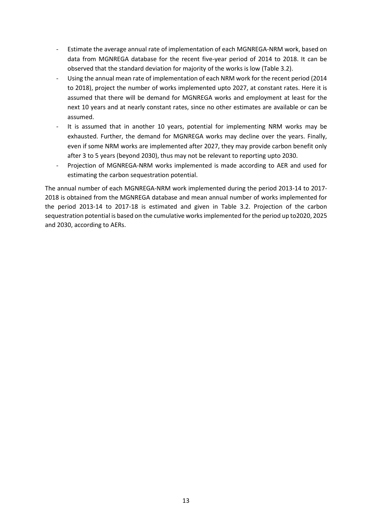- Estimate the average annual rate of implementation of each MGNREGA-NRM work, based on data from MGNREGA database for the recent five-year period of 2014 to 2018. It can be observed that the standard deviation for majority of the works is low (Table 3.2).
- Using the annual mean rate of implementation of each NRM work for the recent period (2014 to 2018), project the number of works implemented upto 2027, at constant rates. Here it is assumed that there will be demand for MGNREGA works and employment at least for the next 10 years and at nearly constant rates, since no other estimates are available or can be assumed.
- It is assumed that in another 10 years, potential for implementing NRM works may be exhausted. Further, the demand for MGNREGA works may decline over the years. Finally, even if some NRM works are implemented after 2027, they may provide carbon benefit only after 3 to 5 years (beyond 2030), thus may not be relevant to reporting upto 2030.
- Projection of MGNREGA-NRM works implemented is made according to AER and used for estimating the carbon sequestration potential.

The annual number of each MGNREGA-NRM work implemented during the period 2013-14 to 2017- 2018 is obtained from the MGNREGA database and mean annual number of works implemented for the period 2013-14 to 2017-18 is estimated and given in Table 3.2. Projection of the carbon sequestration potential is based on the cumulative works implemented for the period up to2020, 2025 and 2030, according to AERs.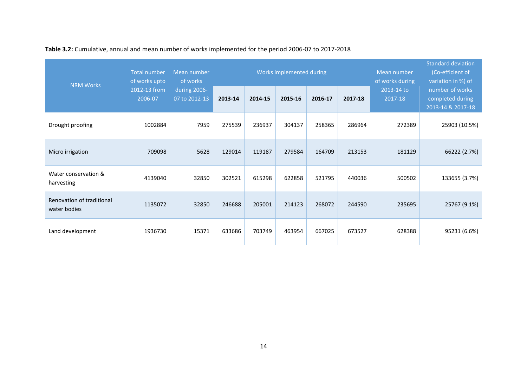| <b>NRM Works</b>                          | <b>Total number</b><br>of works upto | Mean number<br>of works       |         |         | Works implemented during |         |         | Mean number<br>of works during | <b>Standard deviation</b><br>(Co-efficient of<br>variation in %) of |
|-------------------------------------------|--------------------------------------|-------------------------------|---------|---------|--------------------------|---------|---------|--------------------------------|---------------------------------------------------------------------|
|                                           | 2012-13 from<br>2006-07              | during 2006-<br>07 to 2012-13 | 2013-14 | 2014-15 | 2015-16                  | 2016-17 | 2017-18 | 2013-14 to<br>2017-18          | number of works<br>completed during<br>2013-14 & 2017-18            |
| Drought proofing                          | 1002884                              | 7959                          | 275539  | 236937  | 304137                   | 258365  | 286964  | 272389                         | 25903 (10.5%)                                                       |
| Micro irrigation                          | 709098                               | 5628                          | 129014  | 119187  | 279584                   | 164709  | 213153  | 181129                         | 66222 (2.7%)                                                        |
| Water conservation &<br>harvesting        | 4139040                              | 32850                         | 302521  | 615298  | 622858                   | 521795  | 440036  | 500502                         | 133655 (3.7%)                                                       |
| Renovation of traditional<br>water bodies | 1135072                              | 32850                         | 246688  | 205001  | 214123                   | 268072  | 244590  | 235695                         | 25767 (9.1%)                                                        |
| Land development                          | 1936730                              | 15371                         | 633686  | 703749  | 463954                   | 667025  | 673527  | 628388                         | 95231 (6.6%)                                                        |

**Table 3.2:** Cumulative, annual and mean number of works implemented for the period 2006-07 to 2017-2018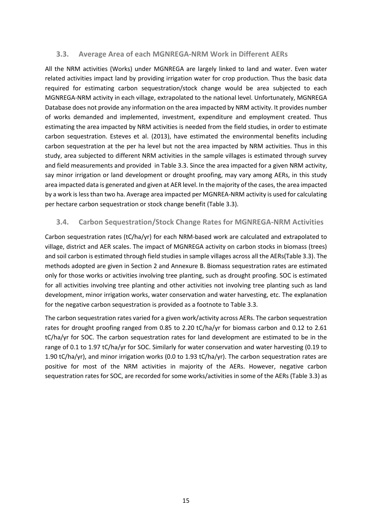### <span id="page-22-0"></span>**3.3. Average Area of each MGNREGA-NRM Work in Different AERs**

All the NRM activities (Works) under MGNREGA are largely linked to land and water. Even water related activities impact land by providing irrigation water for crop production. Thus the basic data required for estimating carbon sequestration/stock change would be area subjected to each MGNREGA-NRM activity in each village, extrapolated to the national level. Unfortunately, MGNREGA Database does not provide any information on the area impacted by NRM activity. It provides number of works demanded and implemented, investment, expenditure and employment created. Thus estimating the area impacted by NRM activities is needed from the field studies, in order to estimate carbon sequestration. Esteves et al. (2013), have estimated the environmental benefits including carbon sequestration at the per ha level but not the area impacted by NRM activities. Thus in this study, area subjected to different NRM activities in the sample villages is estimated through survey and field measurements and provided in Table 3.3. Since the area impacted for a given NRM activity, say minor irrigation or land development or drought proofing, may vary among AERs, in this study area impacted data is generated and given at AER level. In the majority of the cases, the area impacted by a work is less than two ha. Average area impacted per MGNREA-NRM activity is used for calculating per hectare carbon sequestration or stock change benefit (Table 3.3).

### <span id="page-22-1"></span>**3.4. Carbon Sequestration/Stock Change Rates for MGNREGA-NRM Activities**

Carbon sequestration rates (tC/ha/yr) for each NRM-based work are calculated and extrapolated to village, district and AER scales. The impact of MGNREGA activity on carbon stocks in biomass (trees) and soil carbon is estimated through field studies in sample villages across all the AERs(Table 3.3). The methods adopted are given in Section 2 and Annexure B. Biomass sequestration rates are estimated only for those works or activities involving tree planting, such as drought proofing. SOC is estimated for all activities involving tree planting and other activities not involving tree planting such as land development, minor irrigation works, water conservation and water harvesting, etc. The explanation for the negative carbon sequestration is provided as a footnote to Table 3.3.

The carbon sequestration rates varied for a given work/activity across AERs. The carbon sequestration rates for drought proofing ranged from 0.85 to 2.20 tC/ha/yr for biomass carbon and 0.12 to 2.61 tC/ha/yr for SOC. The carbon sequestration rates for land development are estimated to be in the range of 0.1 to 1.97 tC/ha/yr for SOC. Similarly for water conservation and water harvesting (0.19 to 1.90 tC/ha/yr), and minor irrigation works (0.0 to 1.93 tC/ha/yr). The carbon sequestration rates are positive for most of the NRM activities in majority of the AERs. However, negative carbon sequestration rates for SOC, are recorded for some works/activities in some of the AERs (Table 3.3) as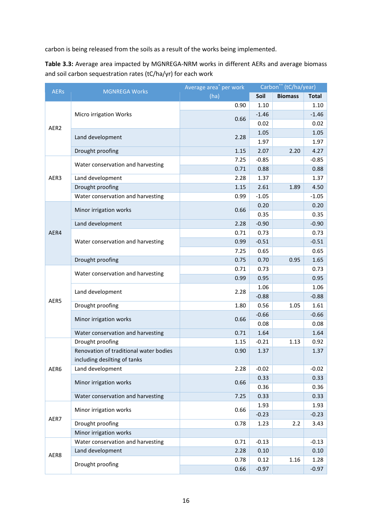carbon is being released from the soils as a result of the works being implemented.

**Table 3.3:** Average area impacted by MGNREGA-NRM works in different AERs and average biomass and soil carbon sequestration rates (tC/ha/yr) for each work

| <b>AERs</b> | <b>MGNREGA Works</b>                   | Average area <sup>*</sup> per work | Carbon** (tC/ha/year) |                |              |
|-------------|----------------------------------------|------------------------------------|-----------------------|----------------|--------------|
|             |                                        | (ha)                               | Soil                  | <b>Biomass</b> | <b>Total</b> |
|             |                                        | 0.90                               | 1.10                  |                | 1.10         |
|             | Micro irrigation Works                 |                                    | $-1.46$               |                | $-1.46$      |
| AER2        |                                        | 0.66                               | 0.02                  |                | 0.02         |
|             |                                        |                                    | 1.05                  |                | 1.05         |
|             | Land development                       | 2.28                               | 1.97                  |                | 1.97         |
|             | Drought proofing                       | 1.15                               | 2.07                  | 2.20           | 4.27         |
|             |                                        | 7.25                               | $-0.85$               |                | $-0.85$      |
|             | Water conservation and harvesting      | 0.71                               | 0.88                  |                | 0.88         |
| AER3        | Land development                       | 2.28                               | 1.37                  |                | 1.37         |
|             | Drought proofing                       | 1.15                               | 2.61                  | 1.89           | 4.50         |
|             | Water conservation and harvesting      | 0.99                               | $-1.05$               |                | $-1.05$      |
|             |                                        |                                    | 0.20                  |                | 0.20         |
|             | Minor irrigation works                 | 0.66                               | 0.35                  |                | 0.35         |
|             | Land development                       | 2.28                               | $-0.90$               |                | $-0.90$      |
| AER4        |                                        | 0.71                               | 0.73                  |                | 0.73         |
|             | Water conservation and harvesting      | 0.99                               | $-0.51$               |                | $-0.51$      |
|             |                                        | 7.25                               | 0.65                  |                | 0.65         |
|             | Drought proofing                       | 0.75                               | 0.70                  | 0.95           | 1.65         |
|             | Water conservation and harvesting      | 0.71                               | 0.73                  |                | 0.73         |
|             |                                        | 0.99                               | 0.95                  |                | 0.95         |
|             |                                        |                                    | 1.06                  |                | 1.06         |
|             | Land development                       | 2.28                               | $-0.88$               |                | $-0.88$      |
| AER5        | Drought proofing                       | 1.80                               | 0.56                  | 1.05           | 1.61         |
|             | Minor irrigation works                 | 0.66                               | $-0.66$               |                | $-0.66$      |
|             |                                        |                                    | 0.08                  |                | 0.08         |
|             | Water conservation and harvesting      | 0.71                               | 1.64                  |                | 1.64         |
|             | Drought proofing                       | 1.15                               | $-0.21$               | 1.13           | 0.92         |
|             | Renovation of traditional water bodies | 0.90                               | 1.37                  |                | 1.37         |
|             | including desilting of tanks           |                                    |                       |                |              |
| AER6        | Land development                       | 2.28                               | $-0.02$               |                | $-0.02$      |
|             | Minor irrigation works                 | 0.66                               | 0.33                  |                | 0.33         |
|             |                                        |                                    | 0.36                  |                | 0.36         |
|             | Water conservation and harvesting      | 7.25                               | 0.33                  |                | 0.33         |
|             | Minor irrigation works                 | 0.66                               | 1.93                  |                | 1.93         |
| AER7        |                                        |                                    | $-0.23$               |                | $-0.23$      |
|             | Drought proofing                       | 0.78                               | 1.23                  | 2.2            | 3.43         |
|             | Minor irrigation works                 |                                    |                       |                |              |
|             | Water conservation and harvesting      | 0.71                               | $-0.13$               |                | $-0.13$      |
| AER8        | Land development                       | 2.28                               | 0.10                  |                | 0.10         |
|             | Drought proofing                       | 0.78                               | 0.12                  | 1.16           | 1.28         |
|             |                                        | 0.66                               | $-0.97$               |                | $-0.97$      |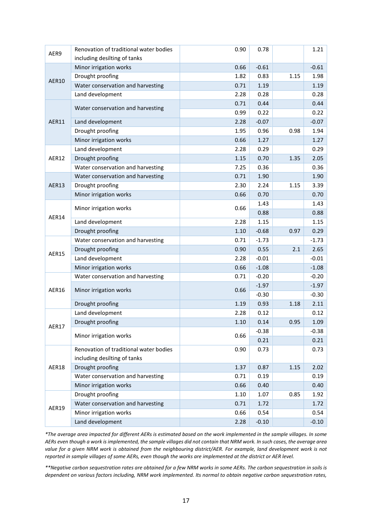| AER9         | Renovation of traditional water bodies<br>including desilting of tanks | 0.90 | 0.78    |      | 1.21    |
|--------------|------------------------------------------------------------------------|------|---------|------|---------|
|              | Minor irrigation works                                                 | 0.66 | $-0.61$ |      | $-0.61$ |
| <b>AER10</b> | Drought proofing                                                       | 1.82 | 0.83    | 1.15 | 1.98    |
|              | Water conservation and harvesting                                      | 0.71 | 1.19    |      | 1.19    |
|              | Land development                                                       | 2.28 | 0.28    |      | 0.28    |
|              |                                                                        | 0.71 | 0.44    |      | 0.44    |
|              | Water conservation and harvesting                                      | 0.99 | 0.22    |      | 0.22    |
| AER11        | Land development                                                       | 2.28 | $-0.07$ |      | $-0.07$ |
|              | Drought proofing                                                       | 1.95 | 0.96    | 0.98 | 1.94    |
|              | Minor irrigation works                                                 | 0.66 | 1.27    |      | 1.27    |
|              | Land development                                                       | 2.28 | 0.29    |      | 0.29    |
| AER12        | Drought proofing                                                       | 1.15 | 0.70    | 1.35 | 2.05    |
|              | Water conservation and harvesting                                      | 7.25 | 0.36    |      | 0.36    |
|              | Water conservation and harvesting                                      | 0.71 | 1.90    |      | 1.90    |
| AER13        | Drought proofing                                                       | 2.30 | 2.24    | 1.15 | 3.39    |
|              | Minor irrigation works                                                 | 0.66 | 0.70    |      | 0.70    |
|              |                                                                        |      | 1.43    |      | 1.43    |
|              | Minor irrigation works                                                 | 0.66 | 0.88    |      | 0.88    |
| AER14        | Land development                                                       | 2.28 | 1.15    |      | 1.15    |
|              | Drought proofing                                                       | 1.10 | $-0.68$ | 0.97 | 0.29    |
|              | Water conservation and harvesting                                      | 0.71 | $-1.73$ |      | $-1.73$ |
|              | Drought proofing                                                       | 0.90 | 0.55    | 2.1  | 2.65    |
| <b>AER15</b> | Land development                                                       | 2.28 | $-0.01$ |      | $-0.01$ |
|              | Minor irrigation works                                                 | 0.66 | $-1.08$ |      | $-1.08$ |
|              | Water conservation and harvesting                                      | 0.71 | $-0.20$ |      | $-0.20$ |
|              |                                                                        |      | $-1.97$ |      | $-1.97$ |
| AER16        | Minor irrigation works                                                 | 0.66 | $-0.30$ |      | $-0.30$ |
|              | Drought proofing                                                       | 1.19 | 0.93    | 1.18 | 2.11    |
|              | Land development                                                       | 2.28 | 0.12    |      | 0.12    |
|              | Drought proofing                                                       | 1.10 | 0.14    | 0.95 | 1.09    |
| <b>AER17</b> |                                                                        |      | $-0.38$ |      | $-0.38$ |
|              | Minor irrigation works                                                 | 0.66 | 0.21    |      | 0.21    |
|              | Renovation of traditional water bodies                                 | 0.90 | 0.73    |      | 0.73    |
|              | including desilting of tanks                                           |      |         |      |         |
| AER18        | Drought proofing                                                       | 1.37 | 0.87    | 1.15 | 2.02    |
|              | Water conservation and harvesting                                      | 0.71 | 0.19    |      | 0.19    |
|              | Minor irrigation works                                                 | 0.66 | 0.40    |      | 0.40    |
|              | Drought proofing                                                       | 1.10 | 1.07    | 0.85 | 1.92    |
|              | Water conservation and harvesting                                      | 0.71 | 1.72    |      | 1.72    |
| AER19        | Minor irrigation works                                                 | 0.66 | 0.54    |      | 0.54    |
|              | Land development                                                       | 2.28 | $-0.10$ |      | $-0.10$ |

*\*The average area impacted for different AERs is estimated based on the work implemented in the sample villages. In some AERs even though a work is implemented, the sample villages did not contain that NRM work. In such cases, the average area value for a given NRM work is obtained from the neighbouring district/AER. For example, land development work is not reported in sample villages of some AERs, even though the works are implemented at the district or AER level.*

*\*\*Negative carbon sequestration rates are obtained for a few NRM works in some AERs. The carbon sequestration in soils is dependent on various factors including, NRM work implemented. Its normal to obtain negative carbon sequestration rates,*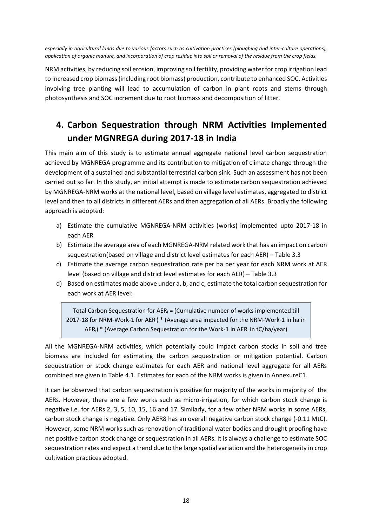*especially in agricultural lands due to various factors such as cultivation practices (ploughing and inter-culture operations), application of organic manure, and incorporation of crop residue into soil or removal of the residue from the crop fields.*

NRM activities, by reducing soil erosion, improving soil fertility, providing water for crop irrigation lead to increased crop biomass (including root biomass) production, contribute to enhanced SOC. Activities involving tree planting will lead to accumulation of carbon in plant roots and stems through photosynthesis and SOC increment due to root biomass and decomposition of litter.

## <span id="page-25-0"></span>**4. Carbon Sequestration through NRM Activities Implemented under MGNREGA during 2017-18 in India**

This main aim of this study is to estimate annual aggregate national level carbon sequestration achieved by MGNREGA programme and its contribution to mitigation of climate change through the development of a sustained and substantial terrestrial carbon sink. Such an assessment has not been carried out so far. In this study, an initial attempt is made to estimate carbon sequestration achieved by MGNREGA-NRM works at the national level, based on village level estimates, aggregated to district level and then to all districts in different AERs and then aggregation of all AERs. Broadly the following approach is adopted:

- a) Estimate the cumulative MGNREGA-NRM activities (works) implemented upto 2017-18 in each AER
- b) Estimate the average area of each MGNREGA-NRM related work that has an impact on carbon sequestration(based on village and district level estimates for each AER) – Table 3.3
- c) Estimate the average carbon sequestration rate per ha per year for each NRM work at AER level (based on village and district level estimates for each AER) – Table 3.3
- d) Based on estimates made above under a, b, and c, estimate the total carbon sequestration for each work at AER level:

Total Carbon Sequestration for  $AER_i =$  (Cumulative number of works implemented till 2017-18 for NRM-Work-1 for AERi) \* (Average area impacted for the NRM-Work-1 in ha in  $AER_i$ ) \* (Average Carbon Sequestration for the Work-1 in  $AER_i$  in tC/ha/year)

All the MGNREGA-NRM activities, which potentially could impact carbon stocks in soil and tree biomass are included for estimating the carbon sequestration or mitigation potential. Carbon sequestration or stock change estimates for each AER and national level aggregate for all AERs combined are given in Table 4.1. Estimates for each of the NRM works is given in AnnexureC1.

It can be observed that carbon sequestration is positive for majority of the works in majority of the AERs. However, there are a few works such as micro-irrigation, for which carbon stock change is negative i.e. for AERs 2, 3, 5, 10, 15, 16 and 17. Similarly, for a few other NRM works in some AERs, carbon stock change is negative. Only AER8 has an overall negative carbon stock change (-0.11 MtC). However, some NRM works such as renovation of traditional water bodies and drought proofing have net positive carbon stock change or sequestration in all AERs. It is always a challenge to estimate SOC sequestration rates and expect a trend due to the large spatial variation and the heterogeneity in crop cultivation practices adopted.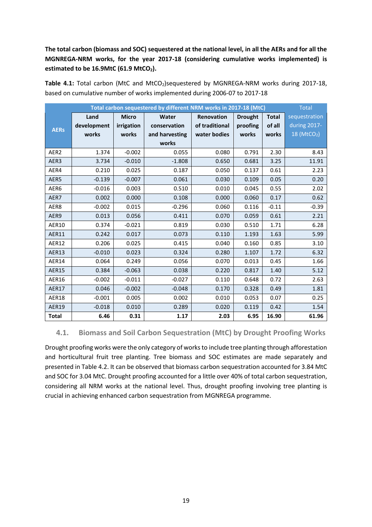### **The total carbon (biomass and SOC) sequestered at the national level, in all the AERs and for all the MGNREGA-NRM works, for the year 2017-18 (considering cumulative works implemented) is estimated to be 16.9MtC (61.9 MtCO2).**

|                  | Total carbon sequestered by different NRM works in 2017-18 (MtC)<br><b>Total</b> |              |                |                |                |              |                         |
|------------------|----------------------------------------------------------------------------------|--------------|----------------|----------------|----------------|--------------|-------------------------|
|                  | Land                                                                             | <b>Micro</b> | Water          | Renovation     | <b>Drought</b> | <b>Total</b> | sequestration           |
| <b>AERs</b>      | development                                                                      | irrigation   | conservation   | of traditional | proofing       | of all       | during 2017-            |
|                  | works                                                                            | works        | and harvesting | water bodies   | works          | works        | 18 (MtCO <sub>2</sub> ) |
|                  |                                                                                  |              | works          |                |                |              |                         |
| AER <sub>2</sub> | 1.374                                                                            | $-0.002$     | 0.055          | 0.080          | 0.791          | 2.30         | 8.43                    |
| AER3             | 3.734                                                                            | $-0.010$     | $-1.808$       | 0.650          | 0.681          | 3.25         | 11.91                   |
| AER4             | 0.210                                                                            | 0.025        | 0.187          | 0.050          | 0.137          | 0.61         | 2.23                    |
| AER5             | $-0.139$                                                                         | $-0.007$     | 0.061          | 0.030          | 0.109          | 0.05         | 0.20                    |
| AER6             | $-0.016$                                                                         | 0.003        | 0.510          | 0.010          | 0.045          | 0.55         | 2.02                    |
| AER7             | 0.002                                                                            | 0.000        | 0.108          | 0.000          | 0.060          | 0.17         | 0.62                    |
| AER8             | $-0.002$                                                                         | 0.015        | $-0.296$       | 0.060          | 0.116          | $-0.11$      | $-0.39$                 |
| AER9             | 0.013                                                                            | 0.056        | 0.411          | 0.070          | 0.059          | 0.61         | 2.21                    |
| AER10            | 0.374                                                                            | $-0.021$     | 0.819          | 0.030          | 0.510          | 1.71         | 6.28                    |
| AER11            | 0.242                                                                            | 0.017        | 0.073          | 0.110          | 1.193          | 1.63         | 5.99                    |
| AER12            | 0.206                                                                            | 0.025        | 0.415          | 0.040          | 0.160          | 0.85         | 3.10                    |
| AER13            | $-0.010$                                                                         | 0.023        | 0.324          | 0.280          | 1.107          | 1.72         | 6.32                    |
| AER14            | 0.064                                                                            | 0.249        | 0.056          | 0.070          | 0.013          | 0.45         | 1.66                    |
| <b>AER15</b>     | 0.384                                                                            | $-0.063$     | 0.038          | 0.220          | 0.817          | 1.40         | 5.12                    |
| <b>AER16</b>     | $-0.002$                                                                         | $-0.011$     | $-0.027$       | 0.110          | 0.648          | 0.72         | 2.63                    |
| AER17            | 0.046                                                                            | $-0.002$     | $-0.048$       | 0.170          | 0.328          | 0.49         | 1.81                    |
| AER18            | $-0.001$                                                                         | 0.005        | 0.002          | 0.010          | 0.053          | 0.07         | 0.25                    |
| <b>AER19</b>     | $-0.018$                                                                         | 0.010        | 0.289          | 0.020          | 0.119          | 0.42         | 1.54                    |
| <b>Total</b>     | 6.46                                                                             | 0.31         | 1.17           | 2.03           | 6.95           | 16.90        | 61.96                   |

Table 4.1: Total carbon (MtC and MtCO<sub>2</sub>)sequestered by MGNREGA-NRM works during 2017-18, based on cumulative number of works implemented during 2006-07 to 2017-18

### <span id="page-26-0"></span>**4.1. Biomass and Soil Carbon Sequestration (MtC) by Drought Proofing Works**

Drought proofing works were the only category of works to include tree planting through afforestation and horticultural fruit tree planting. Tree biomass and SOC estimates are made separately and presented in Table 4.2. It can be observed that biomass carbon sequestration accounted for 3.84 MtC and SOC for 3.04 MtC. Drought proofing accounted for a little over 40% of total carbon sequestration, considering all NRM works at the national level. Thus, drought proofing involving tree planting is crucial in achieving enhanced carbon sequestration from MGNREGA programme.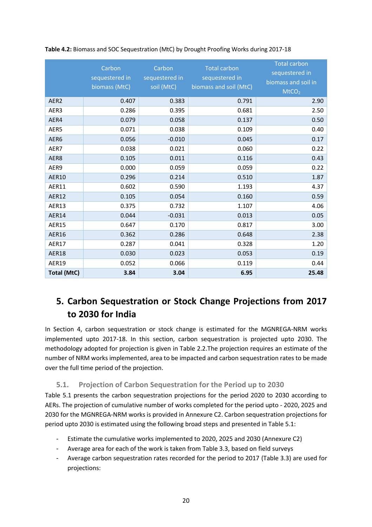|                    | Carbon<br>sequestered in<br>biomass (MtC) | Carbon<br>sequestered in<br>soil (MtC) | <b>Total carbon</b><br>sequestered in<br>biomass and soil (MtC) | <b>Total carbon</b><br>sequestered in<br>biomass and soil in<br>MtCO <sub>2</sub> |
|--------------------|-------------------------------------------|----------------------------------------|-----------------------------------------------------------------|-----------------------------------------------------------------------------------|
| AER2               | 0.407                                     | 0.383                                  | 0.791                                                           | 2.90                                                                              |
| AER3               | 0.286                                     | 0.395                                  | 0.681                                                           | 2.50                                                                              |
| AER4               | 0.079                                     | 0.058                                  | 0.137                                                           | 0.50                                                                              |
| AER5               | 0.071                                     | 0.038                                  | 0.109                                                           | 0.40                                                                              |
| AER6               | 0.056                                     | $-0.010$                               | 0.045                                                           | 0.17                                                                              |
| AER7               | 0.038                                     | 0.021                                  | 0.060                                                           | 0.22                                                                              |
| AER8               | 0.105                                     | 0.011                                  | 0.116                                                           | 0.43                                                                              |
| AER9               | 0.000                                     | 0.059                                  | 0.059                                                           | 0.22                                                                              |
| <b>AER10</b>       | 0.296                                     | 0.214                                  | 0.510                                                           | 1.87                                                                              |
| AER11              | 0.602                                     | 0.590                                  | 1.193                                                           | 4.37                                                                              |
| <b>AER12</b>       | 0.105                                     | 0.054                                  | 0.160                                                           | 0.59                                                                              |
| AER13              | 0.375                                     | 0.732                                  | 1.107                                                           | 4.06                                                                              |
| AER14              | 0.044                                     | $-0.031$                               | 0.013                                                           | 0.05                                                                              |
| <b>AER15</b>       | 0.647                                     | 0.170                                  | 0.817                                                           | 3.00                                                                              |
| <b>AER16</b>       | 0.362                                     | 0.286                                  | 0.648                                                           | 2.38                                                                              |
| AER17              | 0.287                                     | 0.041                                  | 0.328                                                           | 1.20                                                                              |
| AER18              | 0.030                                     | 0.023                                  | 0.053                                                           | 0.19                                                                              |
| AER19              | 0.052                                     | 0.066                                  | 0.119                                                           | 0.44                                                                              |
| <b>Total (MtC)</b> | 3.84                                      | 3.04                                   | 6.95                                                            | 25.48                                                                             |

#### **Table 4.2:** Biomass and SOC Sequestration (MtC) by Drought Proofing Works during 2017-18

## <span id="page-27-0"></span>**5. Carbon Sequestration or Stock Change Projections from 2017 to 2030 for India**

In Section 4, carbon sequestration or stock change is estimated for the MGNREGA-NRM works implemented upto 2017-18. In this section, carbon sequestration is projected upto 2030. The methodology adopted for projection is given in Table 2.2.The projection requires an estimate of the number of NRM works implemented, area to be impacted and carbon sequestration rates to be made over the full time period of the projection.

### **5.1. Projection of Carbon Sequestration for the Period up to 2030**

<span id="page-27-1"></span>Table 5.1 presents the carbon sequestration projections for the period 2020 to 2030 according to AERs. The projection of cumulative number of works completed for the period upto - 2020, 2025 and 2030 for the MGNREGA-NRM works is provided in Annexure C2. Carbon sequestration projections for period upto 2030 is estimated using the following broad steps and presented in Table 5.1:

- Estimate the cumulative works implemented to 2020, 2025 and 2030 (Annexure C2)
- Average area for each of the work is taken from Table 3.3, based on field surveys
- Average carbon sequestration rates recorded for the period to 2017 (Table 3.3) are used for projections: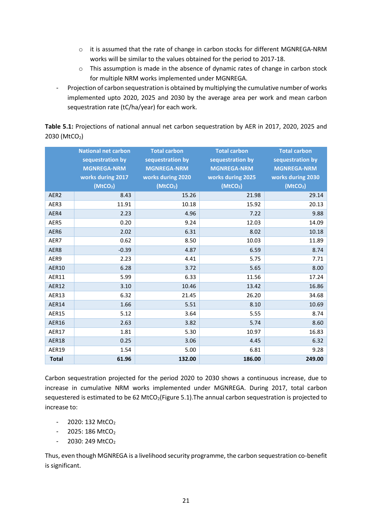- o it is assumed that the rate of change in carbon stocks for different MGNREGA-NRM works will be similar to the values obtained for the period to 2017-18.
- o This assumption is made in the absence of dynamic rates of change in carbon stock for multiple NRM works implemented under MGNREGA.
- Projection of carbon sequestration is obtained by multiplying the cumulative number of works implemented upto 2020, 2025 and 2030 by the average area per work and mean carbon sequestration rate (tC/ha/year) for each work.

| Table 5.1: Projections of national annual net carbon sequestration by AER in 2017, 2020, 2025 and |  |  |
|---------------------------------------------------------------------------------------------------|--|--|
| 2030 (MtCO2)                                                                                      |  |  |

|                  | <b>National net carbon</b><br>sequestration by<br><b>MGNREGA-NRM</b><br>works during 2017<br>(MtCO <sub>2</sub> ) | <b>Total carbon</b><br>sequestration by<br><b>MGNREGA-NRM</b><br>works during 2020<br>(MtCO <sub>2</sub> ) | <b>Total carbon</b><br>sequestration by<br><b>MGNREGA-NRM</b><br>works during 2025<br>(MtCO <sub>2</sub> ) | <b>Total carbon</b><br>sequestration by<br><b>MGNREGA-NRM</b><br>works during 2030<br>(MtCO <sub>2</sub> ) |
|------------------|-------------------------------------------------------------------------------------------------------------------|------------------------------------------------------------------------------------------------------------|------------------------------------------------------------------------------------------------------------|------------------------------------------------------------------------------------------------------------|
| AER <sub>2</sub> | 8.43                                                                                                              | 15.26                                                                                                      | 21.98                                                                                                      | 29.14                                                                                                      |
| AER3             | 11.91                                                                                                             | 10.18                                                                                                      | 15.92                                                                                                      | 20.13                                                                                                      |
| AER4             | 2.23                                                                                                              | 4.96                                                                                                       | 7.22                                                                                                       | 9.88                                                                                                       |
| AER5             | 0.20                                                                                                              | 9.24                                                                                                       | 12.03                                                                                                      | 14.09                                                                                                      |
| AER6             | 2.02                                                                                                              | 6.31                                                                                                       | 8.02                                                                                                       | 10.18                                                                                                      |
| AER7             | 0.62                                                                                                              | 8.50                                                                                                       | 10.03                                                                                                      | 11.89                                                                                                      |
| AER8             | $-0.39$                                                                                                           | 4.87                                                                                                       | 6.59                                                                                                       | 8.74                                                                                                       |
| AER9             | 2.23                                                                                                              | 4.41                                                                                                       | 5.75                                                                                                       | 7.71                                                                                                       |
| <b>AER10</b>     | 6.28                                                                                                              | 3.72                                                                                                       | 5.65                                                                                                       | 8.00                                                                                                       |
| AER11            | 5.99                                                                                                              | 6.33                                                                                                       | 11.56                                                                                                      | 17.24                                                                                                      |
| AER12            | 3.10                                                                                                              | 10.46                                                                                                      | 13.42                                                                                                      | 16.86                                                                                                      |
| AER13            | 6.32                                                                                                              | 21.45                                                                                                      | 26.20                                                                                                      | 34.68                                                                                                      |
| AER14            | 1.66                                                                                                              | 5.51                                                                                                       | 8.10                                                                                                       | 10.69                                                                                                      |
| <b>AER15</b>     | 5.12                                                                                                              | 3.64                                                                                                       | 5.55                                                                                                       | 8.74                                                                                                       |
| <b>AER16</b>     | 2.63                                                                                                              | 3.82                                                                                                       | 5.74                                                                                                       | 8.60                                                                                                       |
| <b>AER17</b>     | 1.81                                                                                                              | 5.30                                                                                                       | 10.97                                                                                                      | 16.83                                                                                                      |
| <b>AER18</b>     | 0.25                                                                                                              | 3.06                                                                                                       | 4.45                                                                                                       | 6.32                                                                                                       |
| AER19            | 1.54                                                                                                              | 5.00                                                                                                       | 6.81                                                                                                       | 9.28                                                                                                       |
| <b>Total</b>     | 61.96                                                                                                             | 132.00                                                                                                     | 186.00                                                                                                     | 249.00                                                                                                     |

Carbon sequestration projected for the period 2020 to 2030 shows a continuous increase, due to increase in cumulative NRM works implemented under MGNREGA. During 2017, total carbon sequestered is estimated to be 62 MtCO<sub>2</sub>(Figure 5.1). The annual carbon sequestration is projected to increase to:

- 2020: 132 MtCO<sub>2</sub>
- $2025:186 MtCO<sub>2</sub>$
- $2030: 249$  MtCO<sub>2</sub>

Thus, even though MGNREGA is a livelihood security programme, the carbon sequestration co-benefit is significant.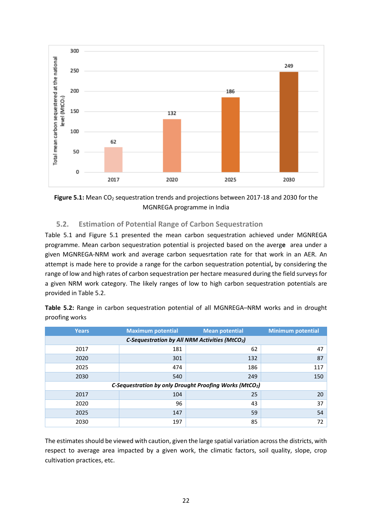



### <span id="page-29-0"></span>**5.2. Estimation of Potential Range of Carbon Sequestration**

Table 5.1 and Figure 5.1 presented the mean carbon sequestration achieved under MGNREGA programme. Mean carbon sequestration potential is projected based on the averg**e** area under a given MGNREGA-NRM work and average carbon sequesrtation rate for that work in an AER. An attempt is made here to provide a range for the carbon sequestration potential**,** by considering the range of low and high rates of carbon sequestration per hectare measured during the field surveys for a given NRM work category. The likely ranges of low to high carbon sequestration potentials are provided in Table 5.2.

| Table 5.2: Range in carbon sequestration potential of all MGNREGA-NRM works and in drought |  |  |  |  |
|--------------------------------------------------------------------------------------------|--|--|--|--|
| proofing works                                                                             |  |  |  |  |

| <b>Years</b> | <b>Maximum potential</b>                      | <b>Mean potential</b>                                  | <b>Minimum potential</b> |  |  |  |  |
|--------------|-----------------------------------------------|--------------------------------------------------------|--------------------------|--|--|--|--|
|              | C-Sequestration by All NRM Activities (MtCO2) |                                                        |                          |  |  |  |  |
| 2017         | 181                                           | 62                                                     | 47                       |  |  |  |  |
| 2020         | 301                                           | 132                                                    | 87                       |  |  |  |  |
| 2025         | 474                                           | 186                                                    | 117                      |  |  |  |  |
| 2030         | 540                                           | 249                                                    | 150                      |  |  |  |  |
|              |                                               | C-Sequestration by only Drought Proofing Works (MtCO2) |                          |  |  |  |  |
| 2017         | 104                                           | 25                                                     | 20                       |  |  |  |  |
| 2020         | 96                                            | 43                                                     | 37                       |  |  |  |  |
| 2025         | 147                                           | 59                                                     | 54                       |  |  |  |  |
| 2030         | 197                                           | 85                                                     | 72                       |  |  |  |  |

The estimates should be viewed with caution, given the large spatial variation across the districts, with respect to average area impacted by a given work, the climatic factors, soil quality, slope, crop cultivation practices, etc.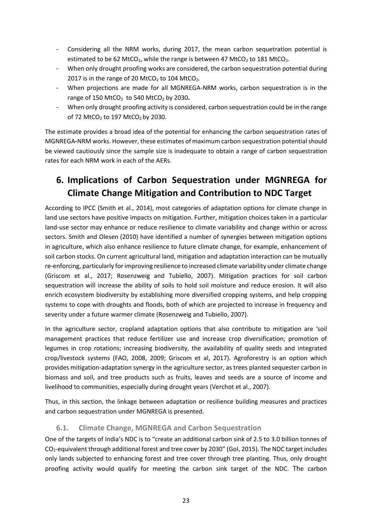- Considering all the NRM works, during 2017, the mean carbon sequetration potential is estimated to be 62 MtCO<sub>2</sub>, while the range is between 47 MtCO<sub>2</sub> to 181 MtCO<sub>2</sub>.
- When only drought proofing works are considered, the carbon sequestration potential during 2017 is in the range of 20 MtCO<sub>2</sub> to 104 MtCO<sub>2</sub>.
- When projections are made for all MGNREGA-NRM works, carbon sequestration is in the range of 150 MtCO2 to 540 MtCO<sup>2</sup> by 2030**.**
- When only drought proofing activity is considered, carbon sequestration could be in the range of 72 MtCO<sub>2</sub> to 197 MtCO<sub>2</sub> by 2030.

The estimate provides a broad idea of the potential for enhancing the carbon sequestration rates of MGNREGA**-**NRM works. However, these estimates of maximum carbon sequestration potential should be viewed cautiously since the sample size is inadequate to obtain a range of carbon sequestration rates for each NRM work in each of the AERs.

## <span id="page-30-0"></span>**6. Implications of Carbon Sequestration under MGNREGA for Climate Change Mitigation and Contribution to NDC Target**

According to IPCC (Smith et al., 2014), most categories of adaptation options for climate change in land use sectors have positive impacts on mitigation. Further, mitigation choices taken in a particular land-use sector may enhance or reduce resilience to climate variability and change within or across sectors. Smith and Olesen (2010) have identified a number of synergies between mitigation options in agriculture, which also enhance resilience to future climate change, for example, enhancement of soil carbon stocks. On current agricultural land, mitigation and adaptation interaction can be mutually re-enforcing, particularly for improving resilience to increased climate variability under climate change (Griscom et al., 2017; Rosenzweig and Tubiello, 2007). Mitigation practices for soil carbon sequestration will increase the ability of soils to hold soil moisture and reduce erosion. It will also enrich ecosystem biodiversity by establishing more diversified cropping systems, and help cropping systems to cope with droughts and floods, both of which are projected to increase in frequency and severity under a future warmer climate (Rosenzweig and Tubiello, 2007).

In the agriculture sector, cropland adaptation options that also contribute to mitigation are 'soil management practices that reduce fertilizer use and increase crop diversification; promotion of legumes in crop rotations; increasing biodiversity, the availability of quality seeds and integrated crop/livestock systems (FAO, 2008, 2009; Griscom et al, 2017). Agroforestry is an option which provides mitigation-adaptation synergy in the agriculture sector, as trees planted sequester carbon in biomass and soil, and tree products such as fruits, leaves and seeds are a source of income and livelihood to communities, especially during drought years (Verchot et al., 2007).

Thus, in this section, the linkage between adaptation or resilience building measures and practices and carbon sequestration under MGNREGA is presented.

### <span id="page-30-1"></span>**6.1. Climate Change, MGNREGA and Carbon Sequestration**

One of the targets of India's NDC is to "create an additional carbon sink of 2.5 to 3.0 billion tonnes of CO2-equivalent through additional forest and tree cover by 2030" (GoI, 2015). The NDC target includes only lands subjected to enhancing forest and tree cover through tree planting. Thus, only drought proofing activity would qualify for meeting the carbon sink target of the NDC. The carbon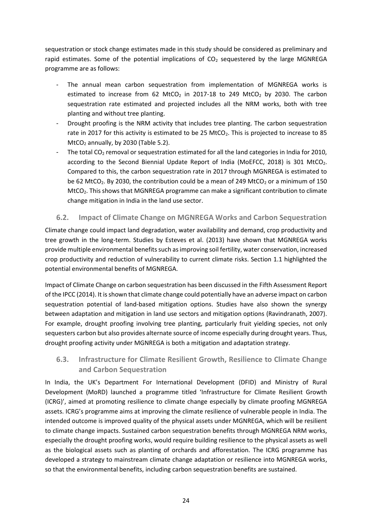sequestration or stock change estimates made in this study should be considered as preliminary and rapid estimates. Some of the potential implications of  $CO<sub>2</sub>$  sequestered by the large MGNREGA programme are as follows:

- The annual mean carbon sequestration from implementation of MGNREGA works is estimated to increase from 62 MtCO<sub>2</sub> in 2017-18 to 249 MtCO<sub>2</sub> by 2030. The carbon sequestration rate estimated and projected includes all the NRM works, both with tree planting and without tree planting.
- Drought proofing is the NRM activity that includes tree planting. The carbon sequestration rate in 2017 for this activity is estimated to be 25 MtCO<sub>2</sub>. This is projected to increase to 85  $MtCO<sub>2</sub>$  annually, by 2030 (Table 5.2).
- The total  $CO<sub>2</sub>$  removal or sequestration estimated for all the land categories in India for 2010, according to the Second Biennial Update Report of India (MoEFCC, 2018) is 301 MtCO<sub>2</sub>. Compared to this, the carbon sequestration rate in 2017 through MGNREGA is estimated to be 62 MtCO<sub>2</sub>. By 2030, the contribution could be a mean of 249 MtCO<sub>2</sub> or a minimum of 150 MtCO<sub>2</sub>. This shows that MGNREGA programme can make a significant contribution to climate change mitigation in India in the land use sector.

### <span id="page-31-0"></span>**6.2. Impact of Climate Change on MGNREGA Works and Carbon Sequestration**

Climate change could impact land degradation, water availability and demand, crop productivity and tree growth in the long-term. Studies by Esteves et al. (2013) have shown that MGNREGA works provide multiple environmental benefits such as improving soil fertility, water conservation, increased crop productivity and reduction of vulnerability to current climate risks. Section 1.1 highlighted the potential environmental benefits of MGNREGA.

Impact of Climate Change on carbon sequestration has been discussed in the Fifth Assessment Report of the IPCC (2014). It is shown that climate change could potentially have an adverse impact on carbon sequestration potential of land-based mitigation options. Studies have also shown the synergy between adaptation and mitigation in land use sectors and mitigation options (Ravindranath, 2007). For example, drought proofing involving tree planting, particularly fruit yielding species, not only sequesters carbon but also provides alternate source of income especially during drought years. Thus, drought proofing activity under MGNREGA is both a mitigation and adaptation strategy.

### **6.3. Infrastructure for Climate Resilient Growth, Resilience to Climate Change and Carbon Sequestration**

In India, the UK's Department For International Development (DFID) and Ministry of Rural Development (MoRD) launched a programme titled 'Infrastructure for Climate Resilient Growth (ICRG)', aimed at promoting resilience to climate change especially by climate proofing MGNREGA assets. ICRG's programme aims at improving the climate resilience of vulnerable people in India. The intended outcome is improved quality of the physical assets under MGNREGA, which will be resilient to climate change impacts. Sustained carbon sequestration benefits through MGNREGA NRM works, especially the drought proofing works, would require building resilience to the physical assets as well as the biological assets such as planting of orchards and afforestation. The ICRG programme has developed a strategy to mainstream climate change adaptation or resilience into MGNREGA works, so that the environmental benefits, including carbon sequestration benefits are sustained.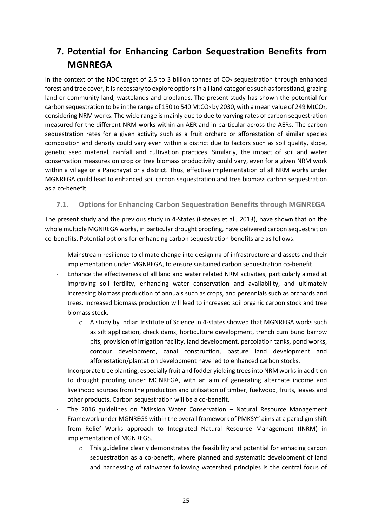## <span id="page-32-0"></span>**7. Potential for Enhancing Carbon Sequestration Benefits from MGNREGA**

In the context of the NDC target of 2.5 to 3 billion tonnes of  $CO<sub>2</sub>$  sequestration through enhanced forest and tree cover, it is necessary to explore options in all land categories such as forestland, grazing land or community land, wastelands and croplands. The present study has shown the potential for carbon sequestration to be in the range of 150 to 540 MtCO<sub>2</sub> by 2030, with a mean value of 249 MtCO<sub>2</sub>, considering NRM works. The wide range is mainly due to due to varying rates of carbon sequestration measured for the different NRM works within an AER and in particular across the AERs. The carbon sequestration rates for a given activity such as a fruit orchard or afforestation of similar species composition and density could vary even within a district due to factors such as soil quality, slope, genetic seed material, rainfall and cultivation practices. Similarly, the impact of soil and water conservation measures on crop or tree biomass productivity could vary, even for a given NRM work within a village or a Panchayat or a district. Thus, effective implementation of all NRM works under MGNREGA could lead to enhanced soil carbon sequestration and tree biomass carbon sequestration as a co-benefit.

### <span id="page-32-1"></span>**7.1. Options for Enhancing Carbon Sequestration Benefits through MGNREGA**

The present study and the previous study in 4-States (Esteves et al., 2013), have shown that on the whole multiple MGNREGA works, in particular drought proofing, have delivered carbon sequestration co-benefits. Potential options for enhancing carbon sequestration benefits are as follows:

- Mainstream resilience to climate change into designing of infrastructure and assets and their implementation under MGNREGA, to ensure sustained carbon sequestration co-benefit.
- Enhance the effectiveness of all land and water related NRM activities, particularly aimed at improving soil fertility, enhancing water conservation and availability, and ultimately increasing biomass production of annuals such as crops, and perennials such as orchards and trees. Increased biomass production will lead to increased soil organic carbon stock and tree biomass stock.
	- o A study by Indian Institute of Science in 4-states showed that MGNREGA works such as silt application, check dams, horticulture development, trench cum bund barrow pits, provision of irrigation facility, land development, percolation tanks, pond works, contour development, canal construction, pasture land development and afforestation/plantation development have led to enhanced carbon stocks.
- Incorporate tree planting, especially fruit and fodder yielding trees into NRM works in addition to drought proofing under MGNREGA, with an aim of generating alternate income and livelihood sources from the production and utilisation of timber, fuelwood, fruits, leaves and other products. Carbon sequestration will be a co-benefit.
- The 2016 guidelines on "Mission Water Conservation Natural Resource Management Framework under MGNREGS within the overall framework of PMKSY" aims at a paradigm shift from Relief Works approach to Integrated Natural Resource Management (INRM) in implementation of MGNREGS.
	- o This guideline clearly demonstrates the feasibility and potential for enhacing carbon sequestration as a co-benefit, where planned and systematic development of land and harnessing of rainwater following watershed principles is the central focus of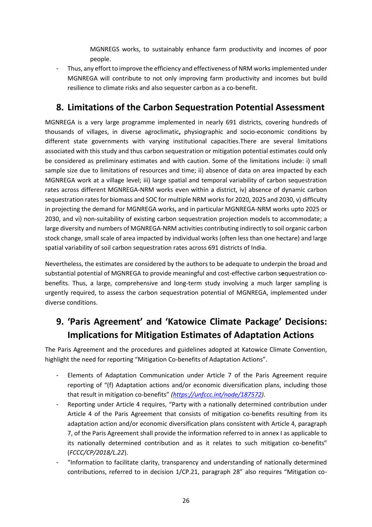MGNREGS works, to sustainably enhance farm productivity and incomes of poor people.

- Thus, any effort to improve the efficiency and effectiveness of NRM works implemented under MGNREGA will contribute to not only improving farm productivity and incomes but build resilience to climate risks and also sequester carbon as a co-benefit.

## <span id="page-33-0"></span>**8. Limitations of the Carbon Sequestration Potential Assessment**

MGNREGA is a very large programme implemented in nearly 691 districts, covering hundreds of thousands of villages, in diverse agroclimatic**,** physiographic and socio-economic conditions by different state governments with varying institutional capacities.There are several limitations associated with this study and thus carbon sequestration or mitigation potential estimates could only be considered as preliminary estimates and with caution. Some of the limitations include: i) small sample size due to limitations of resources and time; ii) absence of data on area impacted by each MGNREGA work at a village level; iii) large spatial and temporal variability of carbon sequestration rates across different MGNREGA-NRM works even within a district, iv) absence of dynamic carbon sequestration rates for biomass and SOC for multiple NRM works for 2020, 2025 and 2030, v) difficulty in projecting the demand for MGNREGA works**,** and in particular MGNREGA-NRM works upto 2025 or 2030, and vi) non-suitability of existing carbon sequestration projection models to accommodate; a large diversity and numbers of MGNREGA-NRM activities contributing indirectly to soil organic carbon stock change, small scale of area impacted by individual works (often less than one hectare) and large spatial variability of soil carbon sequestration rates across 691 districts of India.

Nevertheless, the estimates are considered by the authors to be adequate to underpin the broad and substantial potential of MGNREGA to provide meaningful and cost-effective carbon s**e**questration cobenefits. Thus, a large, comprehensive and long-term study involving a much larger sampling is urgently required, to assess the carbon sequestration potential of MGNREGA, implemented under diverse conditions.

## <span id="page-33-1"></span>**9. 'Paris Agreement' and 'Katowice Climate Package' Decisions: Implications for Mitigation Estimates of Adaptation Actions**

The Paris Agreement and the procedures and guidelines adopted at Katowice Climate Convention, highlight the need for reporting "Mitigation Co-benefits of Adaptation Actions".

- Elements of Adaptation Communication under Article 7 of the Paris Agreement require reporting of "(f) Adaptation actions and/or economic diversification plans, including those that result in mitigation co-benefits" *[\(https://unfccc.int/node/187572\)](https://unfccc.int/node/187572).*
- Reporting under Article 4 requires, "Party with a nationally determined contribution under Article 4 of the Paris Agreement that consists of mitigation co-benefits resulting from its adaptation action and/or economic diversification plans consistent with Article 4, paragraph 7, of the Paris Agreement shall provide the information referred to in annex I as applicable to its nationally determined contribution and as it relates to such mitigation co-benefits" (*FCCC/CP/2018/L.22*).
- "Information to facilitate clarity, transparency and understanding of nationally determined contributions, referred to in decision 1/CP.21, paragraph 28" also requires "Mitigation co-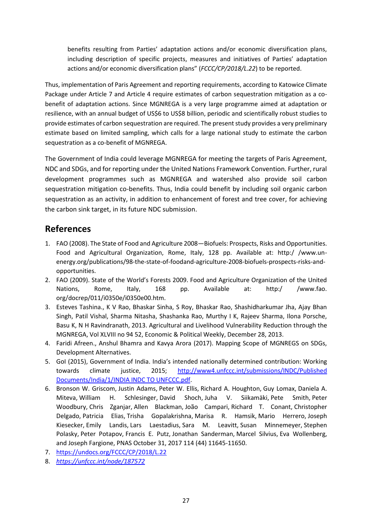benefits resulting from Parties' adaptation actions and/or economic diversification plans, including description of specific projects, measures and initiatives of Parties' adaptation actions and/or economic diversification plans" (*FCCC/CP/2018/L.22*) to be reported.

Thus, implementation of Paris Agreement and reporting requirements, according to Katowice Climate Package under Article 7 and Article 4 require estimates of carbon sequestration mitigation as a cobenefit of adaptation actions. Since MGNREGA is a very large programme aimed at adaptation or resilience, with an annual budget of US\$6 to US\$8 billion, periodic and scientifically robust studies to provide estimates of carbon sequestration are required. The present study provides a very preliminary estimate based on limited sampling, which calls for a large national study to estimate the carbon sequestration as a co-benefit of MGNREGA.

The Government of India could leverage MGNREGA for meeting the targets of Paris Agreement, NDC and SDGs, and for reporting under the United Nations Framework Convention. Further, rural development programmes such as MGNREGA and watershed also provide soil carbon sequestration mitigation co-benefits. Thus, India could benefit by including soil organic carbon sequestration as an activity, in addition to enhancement of forest and tree cover, for achieving the carbon sink target, in its future NDC submission.

## <span id="page-34-0"></span>**References**

- 1. FAO (2008). The State of Food and Agriculture 2008—Biofuels: Prospects, Risks and Opportunities. Food and Agricultural Organization, Rome, Italy, 128 pp. Available at: http:/ /www.unenergy.org/publications/98-the-state-of-foodand-agriculture-2008-biofuels-prospects-risks-andopportunities.
- 2. FAO (2009). State of the World's Forests 2009. Food and Agriculture Organization of the United Nations, Rome, Italy, 168 pp. Available at: http:/ /www.fao. org/docrep/011/i0350e/i0350e00.htm.
- 3. Esteves Tashina., K V Rao, Bhaskar Sinha, S Roy, Bhaskar Rao, Shashidharkumar Jha, Ajay Bhan Singh, Patil Vishal, Sharma Nitasha, Shashanka Rao, Murthy I K, Rajeev Sharma, Ilona Porsche, Basu K, N H Ravindranath, 2013. Agricultural and Livelihood Vulnerability Reduction through the MGNREGA, Vol XLVIII no 94 52, Economic & Political Weekly, December 28, 2013.
- 4. Faridi Afreen., Anshul Bhamra and Kavya Arora (2017). Mapping Scope of MGNREGS on SDGs, Development Alternatives.
- 5. GoI (2015), Government of India. India's intended nationally determined contribution: Working towards climate justice, 2015; http://www4.unfccc.int/submissions/INDC/Published [Documents/India/1/INDIA INDC TO UNFCCC.pdf.](http://www4.unfccc.int/submissions/INDC/Published%20Documents/India/1/INDIA%20INDC%20TO%20UNFCCC.pdf)
- 6. Bronson W. Griscom, Justin Adams, Peter W. Ellis, Richard A. Houghton, Guy Lomax, Daniela A. Miteva, William H. Schlesinger, David Shoch, Juha V. Siikamäki, Pete Smith, Peter Woodbury, Chris Zganjar, Allen Blackman, João Campari, Richard T. Conant, Christopher Delgado, Patricia Elias, Trisha Gopalakrishna, Marisa R. Hamsik, Mario Herrero, Joseph Kiesecker, Emily Landis, Lars Laestadius, Sara M. Leavitt, Susan Minnemeyer, Stephen Polasky, Peter Potapov, Francis E. Putz, Jonathan Sanderman, Marcel Silvius, Eva Wollenberg, and Joseph Fargione, PNAS October 31, 2017 114 (44) 11645-11650.
- 7. <https://undocs.org/FCCC/CP/2018/L.22>
- 8. *<https://unfccc.int/node/187572>*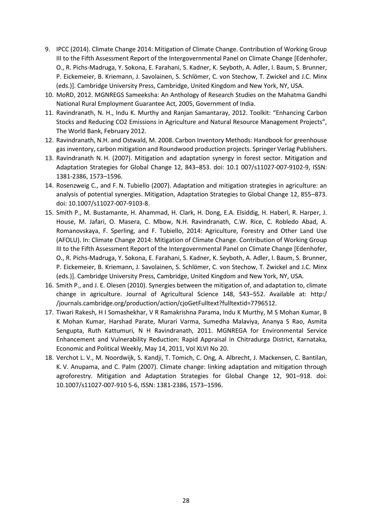- 9. IPCC (2014). Climate Change 2014: Mitigation of Climate Change. Contribution of Working Group III to the Fifth Assessment Report of the Intergovernmental Panel on Climate Change [Edenhofer, O., R. Pichs-Madruga, Y. Sokona, E. Farahani, S. Kadner, K. Seyboth, A. Adler, I. Baum, S. Brunner, P. Eickemeier, B. Kriemann, J. Savolainen, S. Schlömer, C. von Stechow, T. Zwickel and J.C. Minx (eds.)]. Cambridge University Press, Cambridge, United Kingdom and New York, NY, USA.
- 10. MoRD, 2012. MGNREGS Sameeksha: An Anthology of Research Studies on the Mahatma Gandhi National Rural Employment Guarantee Act, 2005, Government of India.
- 11. Ravindranath, N. H., Indu K. Murthy and Ranjan Samantaray, 2012. Toolkit: "Enhancing Carbon Stocks and Reducing CO2 Emissions in Agriculture and Natural Resource Management Projects", The World Bank, February 2012.
- 12. Ravindranath, N.H. and Ostwald, M. 2008. Carbon Inventory Methods: Handbook for greenhouse gas inventory, carbon mitigation and Roundwood production projects. Springer Verlag Publishers.
- 13. Ravindranath N. H. (2007). Mitigation and adaptation synergy in forest sector. Mitigation and Adaptation Strategies for Global Change 12, 843–853. doi: 10.1 007/s11027-007-9102-9, ISSN: 1381-2386, 1573–1596.
- 14. Rosenzweig C., and F. N. Tubiello (2007). Adaptation and mitigation strategies in agriculture: an analysis of potential synergies. Mitigation, Adaptation Strategies to Global Change 12, 855–873. doi: 10.1007/s11027-007-9103-8.
- 15. Smith P., M. Bustamante, H. Ahammad, H. Clark, H. Dong, E.A. Elsiddig, H. Haberl, R. Harper, J. House, M. Jafari, O. Masera, C. Mbow, N.H. Ravindranath, C.W. Rice, C. Robledo Abad, A. Romanovskaya, F. Sperling, and F. Tubiello, 2014: Agriculture, Forestry and Other Land Use (AFOLU). In: Climate Change 2014: Mitigation of Climate Change. Contribution of Working Group III to the Fifth Assessment Report of the Intergovernmental Panel on Climate Change [Edenhofer, O., R. Pichs-Madruga, Y. Sokona, E. Farahani, S. Kadner, K. Seyboth, A. Adler, I. Baum, S. Brunner, P. Eickemeier, B. Kriemann, J. Savolainen, S. Schlömer, C. von Stechow, T. Zwickel and J.C. Minx (eds.)]. Cambridge University Press, Cambridge, United Kingdom and New York, NY, USA.
- 16. Smith P., and J. E. Olesen (2010). Synergies between the mitigation of, and adaptation to, climate change in agriculture. Journal of Agricultural Science 148, 543–552. Available at: http:/ /journals.cambridge.org/production/action/cjoGetFulltext?fulltextid=7796512.
- 17. Tiwari Rakesh, H I Somashekhar, V R Ramakrishna Parama, Indu K Murthy, M S Mohan Kumar, B K Mohan Kumar, Harshad Parate, Murari Varma, Sumedha Malaviya, Ananya S Rao, Asmita Sengupta, Ruth Kattumuri, N H Ravindranath, 2011. MGNREGA for Environmental Service Enhancement and Vulnerability Reduction: Rapid Appraisal in Chitradurga District, Karnataka, Economic and Political Weekly, May 14, 2011, Vol XLVI No 20.
- 18. Verchot L. V., M. Noordwijk, S. Kandji, T. Tomich, C. Ong, A. Albrecht, J. Mackensen, C. Bantilan, K. V. Anupama, and C. Palm (2007). Climate change: linking adaptation and mitigation through agroforestry. Mitigation and Adaptation Strategies for Global Change 12, 901–918. doi: 10.1007/s11027-007-910 5-6, ISSN: 1381-2386, 1573–1596.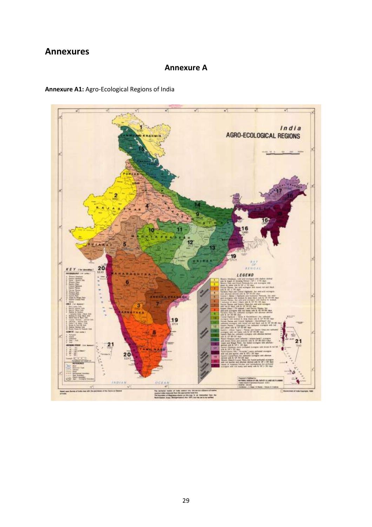## <span id="page-36-0"></span>**Annexures**

### **Annexure A**

### **Annexure A1:** Agro-Ecological Regions of India

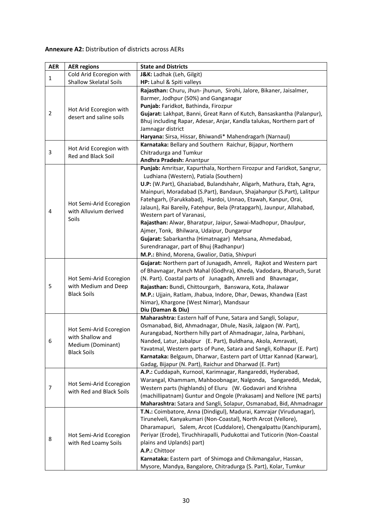### **Annexure A2:** Distribution of districts across AERs

| <b>AER</b>     | <b>AER regions</b>            | <b>State and Districts</b>                                                                                                   |
|----------------|-------------------------------|------------------------------------------------------------------------------------------------------------------------------|
|                | Cold Arid Ecoregion with      | J&K: Ladhak (Leh, Gilgit)                                                                                                    |
| $\mathbf{1}$   | <b>Shallow Skelatal Soils</b> | HP: Lahul & Spiti valleys                                                                                                    |
|                |                               | Rajasthan: Churu, Jhun- jhunun, Sirohi, Jalore, Bikaner, Jaisalmer,                                                          |
|                |                               | Barmer, Jodhpur (50%) and Ganganagar                                                                                         |
|                | Hot Arid Ecoregion with       | Punjab: Faridkot, Bathinda, Firozpur                                                                                         |
| $\overline{2}$ | desert and saline soils       | Gujarat: Lakhpat, Banni, Great Rann of Kutch, Bansaskantha (Palanpur),                                                       |
|                |                               | Bhuj including Rapar, Adesar, Anjar, Kandla talukas, Northern part of                                                        |
|                |                               | Jamnagar district                                                                                                            |
|                |                               | Haryana: Sirsa, Hissar, Bhiwandi* Mahendragarh (Narnaul)                                                                     |
|                | Hot Arid Ecoregion with       | Karnataka: Bellary and Southern Raichur, Bijapur, Northern                                                                   |
| 3              | Red and Black Soil            | Chitradurga and Tumkur<br>Andhra Pradesh: Anantpur                                                                           |
|                |                               |                                                                                                                              |
|                |                               | Punjab: Amritsar, Kapurthala, Northern Firozpur and Faridkot, Sangrur,<br>Ludhiana (Western), Patiala (Southern)             |
|                |                               | U.P: (W.Part), Ghaziabad, Bulandshahr, Aligarh, Mathura, Etah, Agra,                                                         |
|                |                               | Mainpuri, Moradabad (S.Part), Bandaun, Shajahanpur (S.Part), Lalitpur                                                        |
|                |                               | Fatehgarh, (Farukkabad), Hardoi, Unnao, Etawah, Kanpur, Orai,                                                                |
|                | Hot Semi-Arid Ecoregion       | Jalaun), Rai Bareily, Fatehpur, Bela (Pratapgarh), Jaunpur, Allahabad,                                                       |
| 4              | with Alluvium derived         | Western part of Varanasi,                                                                                                    |
|                | Soils                         | Rajasthan: Alwar, Bharatpur, Jaipur, Sawai-Madhopur, Dhaulpur,                                                               |
|                |                               | Ajmer, Tonk, Bhilwara, Udaipur, Dungarpur                                                                                    |
|                |                               | Gujarat: Sabarkantha (Himatnagar) Mehsana, Ahmedabad,                                                                        |
|                |                               | Surendranagar, part of Bhuj (Radhanpur)                                                                                      |
|                |                               | M.P.: Bhind, Morena, Gwalior, Datia, Shivpuri                                                                                |
|                |                               | Gujarat: Northern part of Junagadh, Amreli, Rajkot and Western part                                                          |
|                |                               | of Bhavnagar, Panch Mahal (Godhra), Kheda, Vadodara, Bharuch, Surat                                                          |
|                | Hot Semi-Arid Ecoregion       | (N. Part). Coastal parts of Junagadh, Amrelli and Bhavnagar,                                                                 |
| 5              | with Medium and Deep          | Rajasthan: Bundi, Chittourgarh, Banswara, Kota, Jhalawar                                                                     |
|                | <b>Black Soils</b>            | M.P.: Ujjain, Ratlam, Jhabua, Indore, Dhar, Dewas, Khandwa (East                                                             |
|                |                               | Nimar), Khargone (West Nimar), Mandsaur                                                                                      |
|                |                               | Diu (Daman & Diu)                                                                                                            |
|                |                               | Maharashtra: Eastern half of Pune, Satara and Sangli, Solapur,                                                               |
|                | Hot Semi-Arid Ecoregion       | Osmanabad, Bid, Ahmadnagar, Dhule, Nasik, Jalgaon (W. Part),                                                                 |
|                | with Shallow and              | Aurangabad, Northern hilly part of Ahmadnagar, Jalna, Parbhani,                                                              |
| 6              | Medium (Dominant)             | Nanded, Latur, Jabalpur (E. Part), Buldhana, Akola, Amravati,                                                                |
|                | <b>Black Soils</b>            | Yavatmal, Western parts of Pune, Satara and Sangli, Kolhapur (E. Part)                                                       |
|                |                               | Karnataka: Belgaum, Dharwar, Eastern part of Uttar Kannad (Karwar),                                                          |
|                |                               | Gadag, Bijapur (N. Part), Raichur and Dharwad (E. Part)                                                                      |
|                |                               | A.P.: Cuddapah, Kurnool, Karimnagar, Rangareddi, Hyderabad,<br>Warangal, Khammam, Mahboobnagar, Nalgonda, Sangareddi, Medak, |
| 7              | Hot Semi-Arid Ecoregion       | Western parts (highlands) of Eluru (W. Godavari and Krishna                                                                  |
|                | with Red and Black Soils      | (machillipatnam) Guntur and Ongole (Prakasam) and Nellore (NE parts)                                                         |
|                |                               | Maharashtra: Satara and Sangli, Solapur, Osmanabad, Bid, Ahmadnagar                                                          |
|                |                               | T.N.: Coimbatore, Anna (Dindigul), Madurai, Kamrajar (Virudunagar),                                                          |
|                |                               | Tirunelveli, Kanyakumari (Non-Coastal), North Arcot (Vellore),                                                               |
|                |                               | Dharamapuri, Salem, Arcot (Cuddalore), Chengalpattu (Kanchipuram),                                                           |
|                | Hot Semi-Arid Ecoregion       | Periyar (Erode), Tiruchhirapalli, Pudukottai and Tuticorin (Non-Coastal                                                      |
| 8              | with Red Loamy Soils          | plains and Uplands) part)                                                                                                    |
|                |                               | A.P.: Chittoor                                                                                                               |
|                |                               | Karnataka: Eastern part of Shimoga and Chikmangalur, Hassan,                                                                 |
|                |                               | Mysore, Mandya, Bangalore, Chitradurga (S. Part), Kolar, Tumkur                                                              |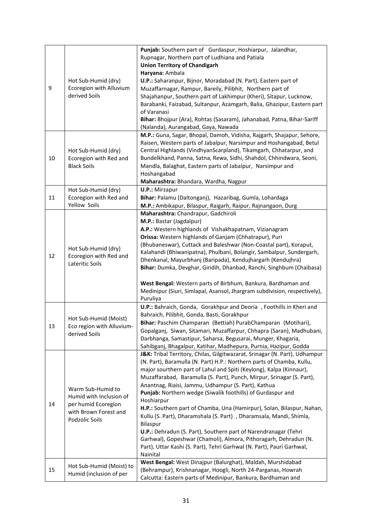| 9  | Hot Sub-Humid (dry)<br>Ecoregion with Alluvium<br>derived Soils                                                | Punjab: Southern part of Gurdaspur, Hoshiarpur, Jalandhar,<br>Rupnagar, Northern part of Ludhiana and Patiala<br><b>Union Territory of Chandigarh</b><br>Haryana: Ambala<br>U.P.: Saharanpur, Bijnor, Moradabad (N. Part), Eastern part of<br>Muzaffarnagar, Rampur, Bareily, Pilibhit, Northern part of<br>Shajahanpur, Southern part of Lakhimpur (Kheri), Sitapur, Lucknow,<br>Barabanki, Faizabad, Sultanpur, Azamgarh, Balia, Ghazipur, Eastern part<br>of Varanasi<br>Bihar: Bhojpur (Ara), Rohtas (Sasaram), Jahanabad, Patna, Bihar-Sariff<br>(Nalanda), Aurangabad, Gaya, Nawada                                                                                                                                                                                                                                       |
|----|----------------------------------------------------------------------------------------------------------------|---------------------------------------------------------------------------------------------------------------------------------------------------------------------------------------------------------------------------------------------------------------------------------------------------------------------------------------------------------------------------------------------------------------------------------------------------------------------------------------------------------------------------------------------------------------------------------------------------------------------------------------------------------------------------------------------------------------------------------------------------------------------------------------------------------------------------------|
| 10 | Hot Sub-Humid (dry)<br>Ecoregion with Red and<br><b>Black Soils</b>                                            | M.P.: Guna, Sagar, Bhopal, Damoh, Vidisha, Rajgarh, Shajapur, Sehore,<br>Raisen, Western parts of Jabalpur, Narsimpur and Hoshangabad, Betul<br>Central Highlands (VindhyanScarpland), Tikamgarh, Chhatarpur, and<br>Bundelkhand, Panna, Satna, Rewa, Sidhi, Shahdol, Chhindwara, Seoni,<br>Mandla, Balaghat, Eastern parts of Jabalpur, Narsimpur and<br>Hoshangabad<br>Maharashtra: Bhandara, Wardha, Nagpur                                                                                                                                                                                                                                                                                                                                                                                                                  |
| 11 | Hot Sub-Humid (dry)<br>Ecoregion with Red and<br>Yellow Soils                                                  | <b>U.P.: Mirzapur</b><br>Bihar: Palamu (Daltonganj), Hazaribag, Gumla, Lohardaga<br>M.P.: Ambikapur, Bilaspur, Raigarh, Raipur, Rajnangaon, Durg                                                                                                                                                                                                                                                                                                                                                                                                                                                                                                                                                                                                                                                                                |
| 12 | Hot Sub-Humid (dry)<br>Ecoregion with Red and<br>Lateritic Soils                                               | Maharashtra: Chandrapur, Gadchiroli<br>M.P.: Bastar (Jagdalpur)<br>A.P.: Western highlands of Vishakhapatnam, Vizianagram<br>Orissa: Western highlands of Ganjam (Chhatrapur), Puri<br>(Bhubaneswar), Cuttack and Baleshwar (Non-Coastal part), Koraput,<br>Kalahandi (Bhiwanipatna), Phulbani, Bolangir, Sambalpur, Sundergarh,<br>Dhenkanal, Mayurbhanj (Baripada), Kendujhargarh (Kendujhra)<br>Bihar: Dumka, Devghar, Giridih, Dhanbad, Ranchi, Singhbum (Chaibasa)<br>West Bengal: Western parts of Birbhum, Bankura, Bardhaman and<br>Medinipur (Siuri, Simlapal, Asansol, Jhargram subdivision, respectively),<br>Puruliya                                                                                                                                                                                               |
| 13 | Hot Sub-Humid (Moist)<br>Eco region with Alluvium-<br>derived Soils                                            | U.P.: Bahraich, Gonda, Gorakhpur and Deoria, Foothills in Kheri and<br>Bahraich, Pilibhit, Gonda, Basti, Gorakhpur<br>Bihar: Paschim Champaran (Bettiah) PurabChamparan (Motihari),<br>Gopalganj, Siwan, Sitamari, Muzaffarpur, Chhapra (Saran), Madhubani,<br>Darbhanga, Samastipur, Saharsa, Begusarai, Munger, Khagaria,<br>Sahibganj, Bhagalpur, Katihar, Madhepura, Purnia, Hazipur, Godda                                                                                                                                                                                                                                                                                                                                                                                                                                 |
| 14 | Warm Sub-Humid to<br>Humid with Inclusion of<br>per humid Ecoregion<br>with Brown Forest and<br>Podzolic Soils | J&K: Tribal Territory, Chilas, Gilgitwazarat, Srinagar (N. Part), Udhampur<br>(N. Part), Baramulla (N. Part) H.P.: Northern parts of Chamba, Kullu,<br>major sourthern part of Lahul and Spiti (Keylong), Kalpa (Kinnaur),<br>Muzaffarabad, Baramulla (S. Part), Punch, Mirpur, Srinagar (S. Part),<br>Anantnag, Riaisi, Jammu, Udhampur (S. Part), Kathua<br>Punjab: Northern wedge (Siwalik foothills) of Gurdaspur and<br>Hoshiarpur<br>H.P.: Southern part of Chamba, Una (Hamirpur), Solan, Bilaspur, Nahan,<br>Kullu (S. Part), Dharamshala (S. Part), Dharamsala, Mandi, Shimla,<br>Bilaspur<br>U.P.: Dehradun (S. Part), Southern part of Narendranagar (Tehri<br>Garhwal), Gopeshwar (Chamoli), Almora, Pithoragarh, Dehradun (N.<br>Part), Uttar Kashi (S. Part), Tehri Garhwal (N. Part), Pauri Garhwal,<br>Nainital |
| 15 | Hot Sub-Humid (Moist) to<br>Humid (inclusion of per                                                            | West Bengal: West Dinajpur (Balurghat), Maldah, Murshidabad<br>(Behrampur), Krishnanagar, Hoogli, North 24-Parganas, Howrah<br>Calcutta: Eastern parts of Medinipur, Bankura, Bardhaman and                                                                                                                                                                                                                                                                                                                                                                                                                                                                                                                                                                                                                                     |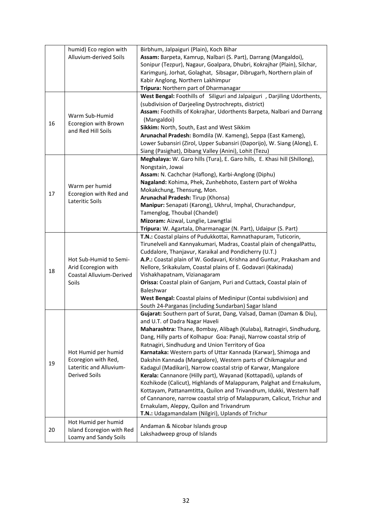|                                                 | humid) Eco region with                                                                    | Birbhum, Jalpaiguri (Plain), Koch Bihar                                                                                          |
|-------------------------------------------------|-------------------------------------------------------------------------------------------|----------------------------------------------------------------------------------------------------------------------------------|
|                                                 | Alluvium-derived Soils                                                                    | Assam: Barpeta, Kamrup, Nalbari (S. Part), Darrang (Mangaldoi),                                                                  |
|                                                 |                                                                                           | Sonipur (Tezpur), Nagaur, Goalpara, Dhubri, Kokrajhar (Plain), Silchar,                                                          |
|                                                 |                                                                                           | Karimgunj, Jorhat, Golaghat, Sibsagar, Dibrugarh, Northern plain of                                                              |
|                                                 |                                                                                           | Kabir Anglong, Northern Lakhimpur                                                                                                |
|                                                 |                                                                                           | Tripura: Northern part of Dharmanagar                                                                                            |
|                                                 |                                                                                           | West Bengal: Foothills of Siliguri and Jalpaiguri , Darjiling Udorthents,<br>(subdivision of Darjeeling Dystrochrepts, district) |
|                                                 |                                                                                           | Assam: Foothills of Kokrajhar, Udorthents Barpeta, Nalbari and Darrang                                                           |
|                                                 | Warm Sub-Humid                                                                            | (Mangaldoi)                                                                                                                      |
| 16                                              | Ecoregion with Brown                                                                      | Sikkim: North, South, East and West Sikkim                                                                                       |
|                                                 | and Red Hill Soils                                                                        | Arunachal Pradesh: Bomdila (W. Kameng), Seppa (East Kameng),                                                                     |
|                                                 |                                                                                           | Lower Subansiri (Zirol, Upper Subansiri (Daporijo), W. Siang (Along), E.                                                         |
|                                                 |                                                                                           | Siang (Pasighat), Dibang Valley (Anini), Lohit (Tezu)                                                                            |
|                                                 |                                                                                           | Meghalaya: W. Garo hills (Tura), E. Garo hills, E. Khasi hill (Shillong),                                                        |
|                                                 |                                                                                           | Nongstain, Jowai                                                                                                                 |
|                                                 |                                                                                           | Assam: N. Cachchar (Haflong), Karbi-Anglong (Diphu)                                                                              |
|                                                 |                                                                                           | Nagaland: Kohima, Phek, Zunhebhoto, Eastern part of Wokha                                                                        |
|                                                 | Warm per humid                                                                            | Mokakchung, Thensung, Mon.                                                                                                       |
| 17<br>Ecoregion with Red and<br>Lateritic Soils |                                                                                           | Arunachal Pradesh: Tirup (Khonsa)                                                                                                |
|                                                 |                                                                                           | Manipur: Senapati (Karong), Ukhrul, Imphal, Churachandpur,                                                                       |
|                                                 |                                                                                           | Tamenglog, Thoubal (Chandel)                                                                                                     |
|                                                 |                                                                                           | Mizoram: Aizwal, Lunglie, Lawngtlai                                                                                              |
|                                                 |                                                                                           | Tripura: W. Agartala, Dharmanagar (N. Part), Udaipur (S. Part)                                                                   |
|                                                 |                                                                                           | T.N.: Coastal plains of Pudukkottai, Ramnathapuram, Tuticorin,                                                                   |
|                                                 |                                                                                           | Tirunelveli and Kannyakumari, Madras, Coastal plain of chengalPattu,                                                             |
|                                                 | Hot Sub-Humid to Semi-<br>Arid Ecoregion with<br><b>Coastal Alluvium-Derived</b><br>Soils | Cuddalore, Thanjavur, Karaikal and Pondicherry (U.T.)                                                                            |
|                                                 |                                                                                           | A.P.: Coastal plain of W. Godavari, Krishna and Guntur, Prakasham and                                                            |
|                                                 |                                                                                           | Nellore, Srikakulam, Coastal plains of E. Godavari (Kakinada)                                                                    |
| 18                                              |                                                                                           | Vishakhapatnam, Vizianagaram                                                                                                     |
|                                                 |                                                                                           | Orissa: Coastal plain of Ganjam, Puri and Cuttack, Coastal plain of                                                              |
|                                                 |                                                                                           | Baleshwar                                                                                                                        |
|                                                 |                                                                                           | West Bengal: Coastal plains of Medinipur (Contai subdivision) and                                                                |
|                                                 |                                                                                           | South 24-Parganas (including Sundarban) Sagar Island                                                                             |
|                                                 |                                                                                           | Gujarat: Southern part of Surat, Dang, Valsad, Daman (Daman & Diu),                                                              |
|                                                 |                                                                                           | and U.T. of Dadra Nagar Haveli                                                                                                   |
|                                                 |                                                                                           | Maharashtra: Thane, Bombay, Alibagh (Kulaba), Ratnagiri, Sindhudurg,                                                             |
|                                                 |                                                                                           | Dang, Hilly parts of Kolhapur Goa: Panaji, Narrow coastal strip of                                                               |
|                                                 |                                                                                           | Ratnagiri, Sindhudurg and Union Territory of Goa                                                                                 |
|                                                 | Hot Humid per humid                                                                       | Karnataka: Western parts of Uttar Kannada (Karwar), Shimoga and                                                                  |
| 19                                              | Ecoregion with Red,                                                                       | Dakshin Kannada (Mangalore), Western parts of Chikmagalur and                                                                    |
|                                                 | Lateritic and Alluvium-                                                                   | Kadagul (Madikari), Narrow coastal strip of Karwar, Mangalore                                                                    |
|                                                 | <b>Derived Soils</b>                                                                      | Kerala: Cannanore (Hilly part), Wayanad (Kottapadi), uplands of                                                                  |
|                                                 |                                                                                           | Kozhikode (Calicut), Highlands of Malappuram, Palghat and Ernakulum,                                                             |
|                                                 |                                                                                           | Kottayam, Pattanamtitta, Quilon and Trivandrum, Idukki, Western half                                                             |
|                                                 |                                                                                           | of Cannanore, narrow coastal strip of Malappuram, Calicut, Trichur and                                                           |
|                                                 |                                                                                           | Ernakulam, Aleppy, Quilon and Trivandrum                                                                                         |
|                                                 |                                                                                           | T.N.: Udagamandalam (Nilgiri), Uplands of Trichur                                                                                |
|                                                 | Hot Humid per humid                                                                       | Andaman & Nicobar Islands group                                                                                                  |
| 20                                              | Island Ecoregion with Red                                                                 | Lakshadweep group of Islands                                                                                                     |
|                                                 | Loamy and Sandy Soils                                                                     |                                                                                                                                  |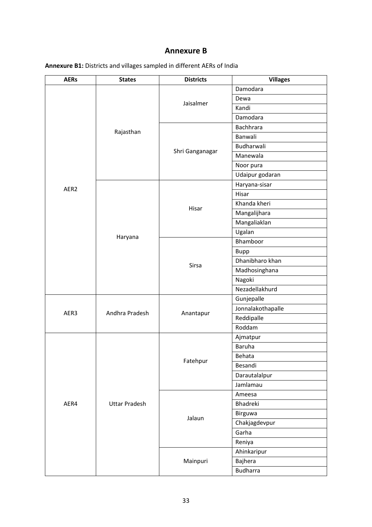### **Annexure B**

| <b>AERs</b> | <b>States</b>                            | <b>Districts</b> | <b>Villages</b>   |
|-------------|------------------------------------------|------------------|-------------------|
|             |                                          |                  | Damodara          |
|             | Rajasthan<br>AER <sub>2</sub><br>Haryana | Jaisalmer        | Dewa              |
|             |                                          |                  | Kandi             |
|             |                                          |                  | Damodara          |
|             |                                          |                  | Bachhrara         |
|             |                                          |                  | Banwali           |
|             |                                          |                  | Budharwali        |
|             |                                          | Shri Ganganagar  | Manewala          |
|             |                                          |                  | Noor pura         |
|             |                                          |                  | Udaipur godaran   |
|             |                                          |                  | Haryana-sisar     |
|             |                                          |                  | Hisar             |
|             |                                          |                  | Khanda kheri      |
|             |                                          | Hisar            | Mangalijhara      |
|             |                                          |                  | Mangaliaklan      |
|             |                                          |                  | Ugalan            |
|             |                                          | Sirsa            | Bhamboor          |
|             |                                          |                  | <b>Bupp</b>       |
|             |                                          |                  | Dhanibharo khan   |
|             |                                          |                  | Madhosinghana     |
|             |                                          |                  | Nagoki            |
|             |                                          |                  | Nezadellakhurd    |
|             | Andhra Pradesh                           | Anantapur        | Gunjepalle        |
| AER3        |                                          |                  | Jonnalakothapalle |
|             |                                          |                  | Reddipalle        |
|             |                                          |                  | Roddam            |
|             |                                          |                  | Ajmatpur          |
|             |                                          | Fatehpur         | Baruha            |
|             |                                          |                  | Behata            |
|             |                                          |                  | Besandi           |
|             |                                          |                  | Darautalalpur     |
|             |                                          |                  | Jamlamau          |
|             |                                          |                  | Ameesa            |
| AER4        | <b>Uttar Pradesh</b>                     |                  | Bhadreki          |
|             |                                          |                  | Birguwa           |
|             |                                          | Jalaun           | Chakjagdevpur     |
|             |                                          |                  | Garha             |
|             |                                          |                  | Reniya            |
|             |                                          |                  | Ahinkaripur       |
|             |                                          | Mainpuri         | Bajhera           |
|             |                                          |                  | <b>Budharra</b>   |

**Annexure B1:** Districts and villages sampled in different AERs of India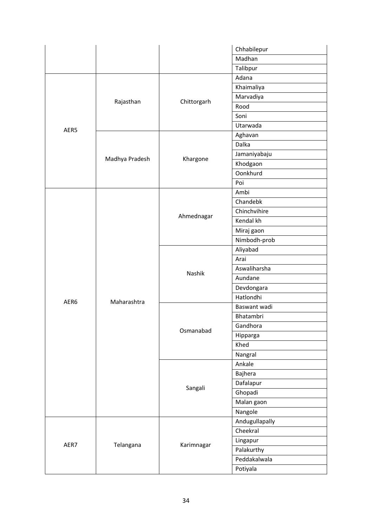|      |                |             | Chhabilepur    |
|------|----------------|-------------|----------------|
|      |                |             | Madhan         |
|      |                |             | Talibpur       |
|      |                |             | Adana          |
| AER5 |                |             | Khaimaliya     |
|      |                |             | Marvadiya      |
|      | Rajasthan      | Chittorgarh | Rood           |
|      |                |             | Soni           |
|      |                |             | Utarwada       |
|      |                |             | Aghavan        |
|      |                |             | Dalka          |
|      |                |             | Jamaniyabaju   |
|      | Madhya Pradesh | Khargone    | Khodgaon       |
|      |                |             | Oonkhurd       |
|      |                |             | Poi            |
|      |                |             | Ambi           |
|      |                |             | Chandebk       |
| AER6 |                | Ahmednagar  | Chinchvihire   |
|      |                |             | Kendal kh      |
|      |                |             | Miraj gaon     |
|      |                |             | Nimbodh-prob   |
|      |                |             | Aliyabad       |
|      |                |             | Arai           |
|      |                | Nashik      | Aswaliharsha   |
|      |                |             | Aundane        |
|      |                |             | Devdongara     |
|      | Maharashtra    |             | Hatlondhi      |
|      |                | Osmanabad   | Baswant wadi   |
|      |                |             | Bhatambri      |
|      |                |             | Gandhora       |
|      |                |             | Hipparga       |
|      |                |             | Khed           |
|      |                |             | Nangral        |
|      |                |             | Ankale         |
|      |                |             | Bajhera        |
|      |                | Sangali     | Dafalapur      |
|      |                |             | Ghopadi        |
|      |                |             | Malan gaon     |
|      |                |             | Nangole        |
|      |                |             | Andugullapally |
|      |                |             | Cheekral       |
|      |                |             | Lingapur       |
| AER7 | Telangana      | Karimnagar  | Palakurthy     |
|      |                |             |                |
|      |                |             | Peddakalwala   |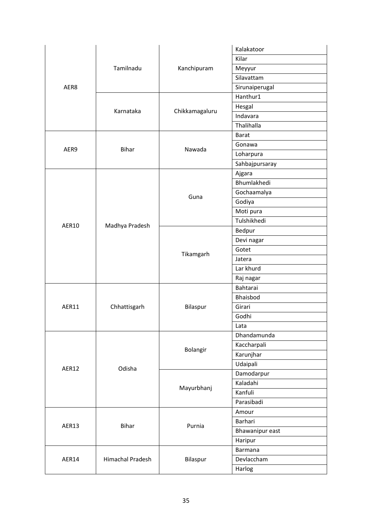| Kilar<br>Tamilnadu<br>Kanchipuram<br>Meyyur<br>Silavattam<br>AER8<br>Sirunaiperugal<br>Hanthur1<br>Hesgal<br>Chikkamagaluru<br>Karnataka<br>Indavara<br>Thalihalla<br><b>Barat</b><br>Gonawa<br><b>Bihar</b><br>Nawada<br>AER9<br>Loharpura<br>Sahbajpursaray<br>Ajgara<br>Bhumlakhedi<br>Gochaamalya<br>Guna<br>Godiya<br>Moti pura<br>Tulshikhedi<br><b>AER10</b><br>Madhya Pradesh<br>Bedpur<br>Devi nagar<br>Gotet<br>Tikamgarh<br>Jatera<br>Lar khurd<br>Raj nagar<br>Bahtarai<br>Bhaisbod<br>AER11<br>Girari<br>Chhattisgarh<br>Bilaspur<br>Godhi<br>Lata |
|-----------------------------------------------------------------------------------------------------------------------------------------------------------------------------------------------------------------------------------------------------------------------------------------------------------------------------------------------------------------------------------------------------------------------------------------------------------------------------------------------------------------------------------------------------------------|
|                                                                                                                                                                                                                                                                                                                                                                                                                                                                                                                                                                 |
|                                                                                                                                                                                                                                                                                                                                                                                                                                                                                                                                                                 |
|                                                                                                                                                                                                                                                                                                                                                                                                                                                                                                                                                                 |
|                                                                                                                                                                                                                                                                                                                                                                                                                                                                                                                                                                 |
|                                                                                                                                                                                                                                                                                                                                                                                                                                                                                                                                                                 |
|                                                                                                                                                                                                                                                                                                                                                                                                                                                                                                                                                                 |
|                                                                                                                                                                                                                                                                                                                                                                                                                                                                                                                                                                 |
|                                                                                                                                                                                                                                                                                                                                                                                                                                                                                                                                                                 |
|                                                                                                                                                                                                                                                                                                                                                                                                                                                                                                                                                                 |
|                                                                                                                                                                                                                                                                                                                                                                                                                                                                                                                                                                 |
|                                                                                                                                                                                                                                                                                                                                                                                                                                                                                                                                                                 |
|                                                                                                                                                                                                                                                                                                                                                                                                                                                                                                                                                                 |
|                                                                                                                                                                                                                                                                                                                                                                                                                                                                                                                                                                 |
|                                                                                                                                                                                                                                                                                                                                                                                                                                                                                                                                                                 |
|                                                                                                                                                                                                                                                                                                                                                                                                                                                                                                                                                                 |
|                                                                                                                                                                                                                                                                                                                                                                                                                                                                                                                                                                 |
|                                                                                                                                                                                                                                                                                                                                                                                                                                                                                                                                                                 |
|                                                                                                                                                                                                                                                                                                                                                                                                                                                                                                                                                                 |
|                                                                                                                                                                                                                                                                                                                                                                                                                                                                                                                                                                 |
|                                                                                                                                                                                                                                                                                                                                                                                                                                                                                                                                                                 |
|                                                                                                                                                                                                                                                                                                                                                                                                                                                                                                                                                                 |
|                                                                                                                                                                                                                                                                                                                                                                                                                                                                                                                                                                 |
|                                                                                                                                                                                                                                                                                                                                                                                                                                                                                                                                                                 |
|                                                                                                                                                                                                                                                                                                                                                                                                                                                                                                                                                                 |
|                                                                                                                                                                                                                                                                                                                                                                                                                                                                                                                                                                 |
|                                                                                                                                                                                                                                                                                                                                                                                                                                                                                                                                                                 |
|                                                                                                                                                                                                                                                                                                                                                                                                                                                                                                                                                                 |
|                                                                                                                                                                                                                                                                                                                                                                                                                                                                                                                                                                 |
|                                                                                                                                                                                                                                                                                                                                                                                                                                                                                                                                                                 |
| Dhandamunda                                                                                                                                                                                                                                                                                                                                                                                                                                                                                                                                                     |
| Kaccharpali<br>Bolangir                                                                                                                                                                                                                                                                                                                                                                                                                                                                                                                                         |
| Karunjhar                                                                                                                                                                                                                                                                                                                                                                                                                                                                                                                                                       |
| Udaipali<br>AER12<br>Odisha                                                                                                                                                                                                                                                                                                                                                                                                                                                                                                                                     |
| Damodarpur                                                                                                                                                                                                                                                                                                                                                                                                                                                                                                                                                      |
| Kaladahi<br>Mayurbhanj                                                                                                                                                                                                                                                                                                                                                                                                                                                                                                                                          |
| Kanfuli                                                                                                                                                                                                                                                                                                                                                                                                                                                                                                                                                         |
| Parasibadi                                                                                                                                                                                                                                                                                                                                                                                                                                                                                                                                                      |
| Amour                                                                                                                                                                                                                                                                                                                                                                                                                                                                                                                                                           |
| Barhari<br>AER13<br>Bihar<br>Purnia                                                                                                                                                                                                                                                                                                                                                                                                                                                                                                                             |
| Bhawanipur east                                                                                                                                                                                                                                                                                                                                                                                                                                                                                                                                                 |
|                                                                                                                                                                                                                                                                                                                                                                                                                                                                                                                                                                 |
| Haripur                                                                                                                                                                                                                                                                                                                                                                                                                                                                                                                                                         |
| Barmana                                                                                                                                                                                                                                                                                                                                                                                                                                                                                                                                                         |
| Devlaccham<br>Himachal Pradesh<br>Bilaspur<br>AER14                                                                                                                                                                                                                                                                                                                                                                                                                                                                                                             |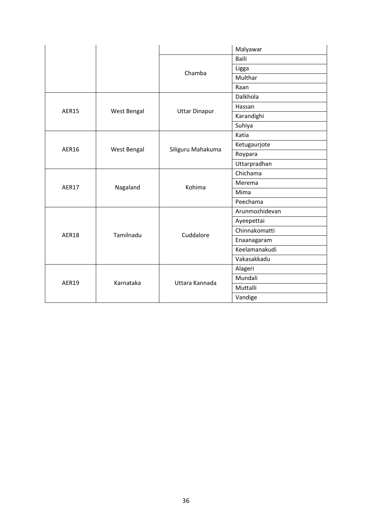|              |             |                      | Malyawar       |
|--------------|-------------|----------------------|----------------|
|              |             |                      | <b>Baili</b>   |
|              |             | Chamba               | Ligga          |
|              |             |                      | Multhar        |
|              |             |                      | Raan           |
|              |             |                      | Dalkhola       |
| <b>AER15</b> | West Bengal |                      | Hassan         |
|              |             | <b>Uttar Dinapur</b> | Karandighi     |
|              |             |                      | Suhiya         |
|              |             |                      | Katia          |
| <b>AER16</b> | West Bengal | Siliguru Mahakuma    | Ketugaurjote   |
|              |             |                      | Roypara        |
|              |             |                      | Uttarpradhan   |
| <b>AER17</b> | Nagaland    | Kohima               | Chichama       |
|              |             |                      | Merema         |
|              |             |                      | Mima           |
|              |             |                      | Peechama       |
|              |             |                      | Arunmozhidevan |
|              | Tamilnadu   | Cuddalore            | Ayeepettai     |
| <b>AER18</b> |             |                      | Chinnakomatti  |
|              |             |                      | Enaanagaram    |
|              |             |                      | Keelamanakudi  |
|              |             |                      | Vakasakkadu    |
|              |             |                      | Alageri        |
| <b>AER19</b> | Karnataka   | Uttara Kannada       | Mundali        |
|              |             |                      | Muttalli       |
|              |             |                      | Vandige        |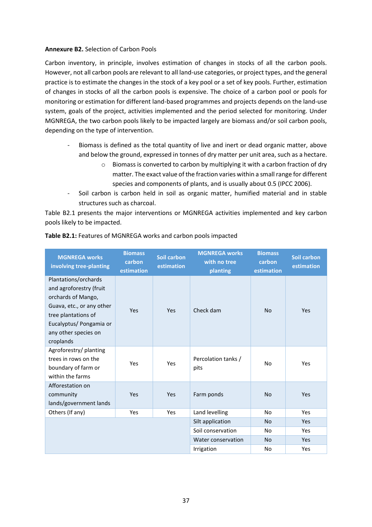#### **Annexure B2.** Selection of Carbon Pools

Carbon inventory, in principle, involves estimation of changes in stocks of all the carbon pools. However, not all carbon pools are relevant to all land-use categories, or project types, and the general practice is to estimate the changes in the stock of a key pool or a set of key pools. Further, estimation of changes in stocks of all the carbon pools is expensive. The choice of a carbon pool or pools for monitoring or estimation for different land-based programmes and projects depends on the land-use system, goals of the project, activities implemented and the period selected for monitoring. Under MGNREGA, the two carbon pools likely to be impacted largely are biomass and/or soil carbon pools, depending on the type of intervention.

- Biomass is defined as the total quantity of live and inert or dead organic matter, above and below the ground, expressed in tonnes of dry matter per unit area, such as a hectare.
	- o Biomass is converted to carbon by multiplying it with a carbon fraction of dry matter. The exact value of the fraction varies within a small range for different species and components of plants, and is usually about 0.5 (IPCC 2006).
- Soil carbon is carbon held in soil as organic matter, humified material and in stable structures such as charcoal.

Table B2.1 presents the major interventions or MGNREGA activities implemented and key carbon pools likely to be impacted.

| <b>MGNREGA works</b><br>involving tree-planting                                                                                                                                           | <b>Biomass</b><br>carbon<br>estimation | <b>Soil carbon</b><br>estimation | <b>MGNREGA works</b><br>with no tree<br>planting | <b>Biomass</b><br>carbon<br>estimation | <b>Soil carbon</b><br>estimation |
|-------------------------------------------------------------------------------------------------------------------------------------------------------------------------------------------|----------------------------------------|----------------------------------|--------------------------------------------------|----------------------------------------|----------------------------------|
| Plantations/orchards<br>and agroforestry (fruit<br>orchards of Mango,<br>Guava, etc., or any other<br>tree plantations of<br>Eucalyptus/ Pongamia or<br>any other species on<br>croplands | Yes                                    | Yes                              | Check dam                                        | <b>No</b>                              | <b>Yes</b>                       |
| Agroforestry/planting<br>trees in rows on the<br>boundary of farm or<br>within the farms                                                                                                  | Yes                                    | Yes                              | Percolation tanks /<br>pits                      | No                                     | Yes                              |
| Afforestation on<br>community<br>lands/government lands                                                                                                                                   | Yes                                    | Yes                              | Farm ponds                                       | <b>No</b>                              | Yes                              |
| Others (If any)                                                                                                                                                                           | Yes                                    | Yes                              | Land levelling                                   | <b>No</b>                              | <b>Yes</b>                       |
|                                                                                                                                                                                           |                                        |                                  | Silt application                                 | <b>No</b>                              | Yes                              |
|                                                                                                                                                                                           |                                        |                                  | Soil conservation                                | No.                                    | Yes                              |
|                                                                                                                                                                                           |                                        |                                  | Water conservation                               | <b>No</b>                              | <b>Yes</b>                       |
|                                                                                                                                                                                           |                                        |                                  | Irrigation                                       | No                                     | Yes                              |

#### **Table B2.1:** Features of MGNREGA works and carbon pools impacted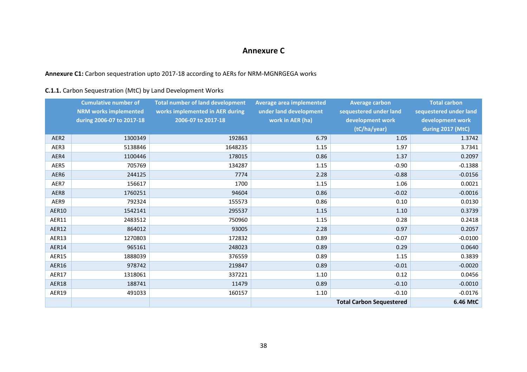### **Annexure C**

### **Annexure C1:** Carbon sequestration upto 2017-18 according to AERs for NRM-MGNRGEGA works

### **C.1.1.** Carbon Sequestration (MtC) by Land Development Works

|                  | <b>Cumulative number of</b><br><b>NRM works implemented</b> | <b>Total number of land development</b><br>works implemented in AER during | <b>Average area implemented</b><br>under land development | <b>Average carbon</b><br>sequestered under land | <b>Total carbon</b><br>sequestered under land |
|------------------|-------------------------------------------------------------|----------------------------------------------------------------------------|-----------------------------------------------------------|-------------------------------------------------|-----------------------------------------------|
|                  | during 2006-07 to 2017-18                                   | 2006-07 to 2017-18                                                         | work in AER (ha)                                          | development work                                | development work                              |
|                  |                                                             |                                                                            |                                                           | (tC/ha/year)                                    | during 2017 (MtC)                             |
| AER <sub>2</sub> | 1300349                                                     | 192863                                                                     | 6.79                                                      | 1.05                                            | 1.3742                                        |
| AER3             | 5138846                                                     | 1648235                                                                    | 1.15                                                      | 1.97                                            | 3.7341                                        |
| AER4             | 1100446                                                     | 178015                                                                     | 0.86                                                      | 1.37                                            | 0.2097                                        |
| AER5             | 705769                                                      | 134287                                                                     | 1.15                                                      | $-0.90$                                         | $-0.1388$                                     |
| AER6             | 244125                                                      | 7774                                                                       | 2.28                                                      | $-0.88$                                         | $-0.0156$                                     |
| AER7             | 156617                                                      | 1700                                                                       | 1.15                                                      | 1.06                                            | 0.0021                                        |
| AER8             | 1760251                                                     | 94604                                                                      | 0.86                                                      | $-0.02$                                         | $-0.0016$                                     |
| AER9             | 792324                                                      | 155573                                                                     | 0.86                                                      | 0.10                                            | 0.0130                                        |
| AER10            | 1542141                                                     | 295537                                                                     | 1.15                                                      | $1.10\,$                                        | 0.3739                                        |
| AER11            | 2483512                                                     | 750960                                                                     | 1.15                                                      | 0.28                                            | 0.2418                                        |
| <b>AER12</b>     | 864012                                                      | 93005                                                                      | 2.28                                                      | 0.97                                            | 0.2057                                        |
| AER13            | 1270803                                                     | 172832                                                                     | 0.89                                                      | $-0.07$                                         | $-0.0100$                                     |
| AER14            | 965161                                                      | 248023                                                                     | 0.89                                                      | 0.29                                            | 0.0640                                        |
| AER15            | 1888039                                                     | 376559                                                                     | 0.89                                                      | 1.15                                            | 0.3839                                        |
| AER16            | 978742                                                      | 219847                                                                     | 0.89                                                      | $-0.01$                                         | $-0.0020$                                     |
| AER17            | 1318061                                                     | 337221                                                                     | 1.10                                                      | 0.12                                            | 0.0456                                        |
| AER18            | 188741                                                      | 11479                                                                      | 0.89                                                      | $-0.10$                                         | $-0.0010$                                     |
| AER19            | 491033                                                      | 160157                                                                     | 1.10                                                      | $-0.10$                                         | $-0.0176$                                     |
|                  |                                                             |                                                                            |                                                           | <b>Total Carbon Sequestered</b>                 | 6.46 MtC                                      |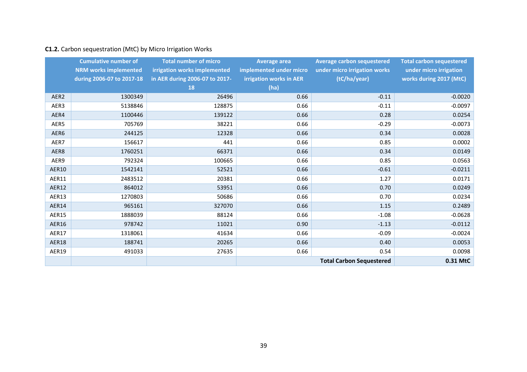### **C1.2.** Carbon sequestration (MtC) by Micro Irrigation Works

|                  | <b>Cumulative number of</b>  | <b>Total number of micro</b>   | <b>Average area</b>     | <b>Average carbon sequestered</b> | <b>Total carbon sequestered</b> |
|------------------|------------------------------|--------------------------------|-------------------------|-----------------------------------|---------------------------------|
|                  | <b>NRM works implemented</b> | irrigation works implemented   | implemented under micro | under micro irrigation works      | under micro irrigation          |
|                  | during 2006-07 to 2017-18    | in AER during 2006-07 to 2017- | irrigation works in AER | (tC/ha/year)                      | works during 2017 (MtC)         |
|                  |                              | 18                             | (ha)                    |                                   |                                 |
| AER <sub>2</sub> | 1300349                      | 26496                          | 0.66                    | $-0.11$                           | $-0.0020$                       |
| AER3             | 5138846                      | 128875                         | 0.66                    | $-0.11$                           | $-0.0097$                       |
| AER4             | 1100446                      | 139122                         | 0.66                    | 0.28                              | 0.0254                          |
| AER5             | 705769                       | 38221                          | 0.66                    | $-0.29$                           | $-0.0073$                       |
| AER6             | 244125                       | 12328                          | 0.66                    | 0.34                              | 0.0028                          |
| AER7             | 156617                       | 441                            | 0.66                    | 0.85                              | 0.0002                          |
| AER8             | 1760251                      | 66371                          | 0.66                    | 0.34                              | 0.0149                          |
| AER9             | 792324                       | 100665                         | 0.66                    | 0.85                              | 0.0563                          |
| <b>AER10</b>     | 1542141                      | 52521                          | 0.66                    | $-0.61$                           | $-0.0211$                       |
| AER11            | 2483512                      | 20381                          | 0.66                    | 1.27                              | 0.0171                          |
| <b>AER12</b>     | 864012                       | 53951                          | 0.66                    | 0.70                              | 0.0249                          |
| AER13            | 1270803                      | 50686                          | 0.66                    | 0.70                              | 0.0234                          |
| AER14            | 965161                       | 327070                         | 0.66                    | 1.15                              | 0.2489                          |
| <b>AER15</b>     | 1888039                      | 88124                          | 0.66                    | $-1.08$                           | $-0.0628$                       |
| <b>AER16</b>     | 978742                       | 11021                          | 0.90                    | $-1.13$                           | $-0.0112$                       |
| AER17            | 1318061                      | 41634                          | 0.66                    | $-0.09$                           | $-0.0024$                       |
| AER18            | 188741                       | 20265                          | 0.66                    | 0.40                              | 0.0053                          |
| AER19            | 491033                       | 27635                          | 0.66                    | 0.54                              | 0.0098                          |
|                  |                              |                                |                         | <b>Total Carbon Sequestered</b>   | 0.31 MtC                        |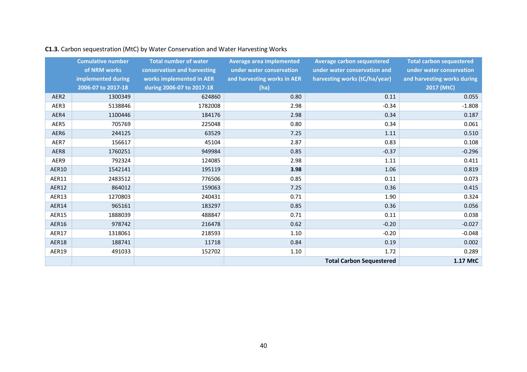|                  | <b>Cumulative number</b> | <b>Total number of water</b> | <b>Average area implemented</b> | <b>Average carbon sequestered</b> | <b>Total carbon sequestered</b> |
|------------------|--------------------------|------------------------------|---------------------------------|-----------------------------------|---------------------------------|
|                  | of NRM works             | conservation and harvesting  | under water conservation        | under water conservation and      | under water conservation        |
|                  | implemented during       | works implemented in AER     | and harvesting works in AER     | harvesting works (tC/ha/year)     | and harvesting works during     |
|                  |                          |                              |                                 |                                   |                                 |
|                  | 2006-07 to 2017-18       | during 2006-07 to 2017-18    | (ha)                            |                                   | 2017 (MtC)                      |
| AER <sub>2</sub> | 1300349                  | 624860                       | 0.80                            | 0.11                              | 0.055                           |
| AER3             | 5138846                  | 1782008                      | 2.98                            | $-0.34$                           | $-1.808$                        |
| AER4             | 1100446                  | 184176                       | 2.98                            | 0.34                              | 0.187                           |
| AER5             | 705769                   | 225048                       | 0.80                            | 0.34                              | 0.061                           |
| AER6             | 244125                   | 63529                        | 7.25                            | 1.11                              | 0.510                           |
| AER7             | 156617                   | 45104                        | 2.87                            | 0.83                              | 0.108                           |
| AER8             | 1760251                  | 949984                       | 0.85                            | $-0.37$                           | $-0.296$                        |
| AER9             | 792324                   | 124085                       | 2.98                            | 1.11                              | 0.411                           |
| <b>AER10</b>     | 1542141                  | 195119                       | 3.98                            | 1.06                              | 0.819                           |
| AER11            | 2483512                  | 776506                       | 0.85                            | 0.11                              | 0.073                           |
| AER12            | 864012                   | 159063                       | 7.25                            | 0.36                              | 0.415                           |
| AER13            | 1270803                  | 240431                       | 0.71                            | 1.90                              | 0.324                           |
| AER14            | 965161                   | 183297                       | 0.85                            | 0.36                              | 0.056                           |
| <b>AER15</b>     | 1888039                  | 488847                       | 0.71                            | 0.11                              | 0.038                           |
| AER16            | 978742                   | 216478                       | 0.62                            | $-0.20$                           | $-0.027$                        |
| AER17            | 1318061                  | 218593                       | 1.10                            | $-0.20$                           | $-0.048$                        |
| AER18            | 188741                   | 11718                        | 0.84                            | 0.19                              | 0.002                           |
| AER19            | 491033                   | 152702                       | 1.10                            | 1.72                              | 0.289                           |
|                  |                          |                              |                                 | <b>Total Carbon Sequestered</b>   | 1.17 MtC                        |

## **C1.3.** Carbon sequestration (MtC) by Water Conservation and Water Harvesting Works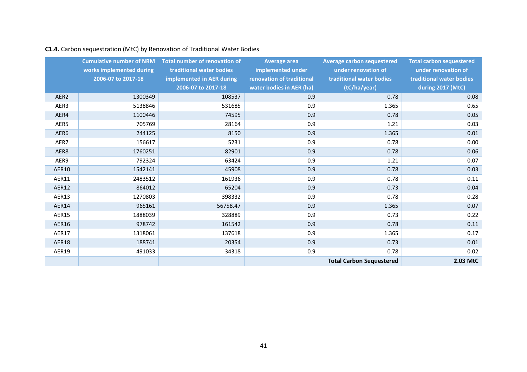|                  | <b>Cumulative number of NRM</b><br>works implemented during | Total number of renovation of<br>traditional water bodies | Average area<br>implemented under | <b>Average carbon sequestered</b><br>under renovation of | <b>Total carbon sequestered</b><br>under renovation of |
|------------------|-------------------------------------------------------------|-----------------------------------------------------------|-----------------------------------|----------------------------------------------------------|--------------------------------------------------------|
|                  | 2006-07 to 2017-18                                          | implemented in AER during                                 | renovation of traditional         | traditional water bodies                                 | traditional water bodies                               |
|                  |                                                             | 2006-07 to 2017-18                                        | water bodies in AER (ha)          | (tC/ha/year)                                             | during 2017 (MtC)                                      |
| AER <sub>2</sub> | 1300349                                                     | 108537                                                    | 0.9                               | 0.78                                                     | 0.08                                                   |
| AER3             | 5138846                                                     | 531685                                                    | 0.9                               | 1.365                                                    | 0.65                                                   |
| AER4             | 1100446                                                     | 74595                                                     | 0.9                               | 0.78                                                     | 0.05                                                   |
| AER5             | 705769                                                      | 28164                                                     | 0.9                               | 1.21                                                     | 0.03                                                   |
| AER6             | 244125                                                      | 8150                                                      | 0.9                               | 1.365                                                    | 0.01                                                   |
| AER7             | 156617                                                      | 5231                                                      | 0.9                               | 0.78                                                     | 0.00                                                   |
| AER8             | 1760251                                                     | 82901                                                     | 0.9                               | 0.78                                                     | 0.06                                                   |
| AER9             | 792324                                                      | 63424                                                     | 0.9                               | 1.21                                                     | 0.07                                                   |
| AER10            | 1542141                                                     | 45908                                                     | 0.9                               | 0.78                                                     | 0.03                                                   |
| AER11            | 2483512                                                     | 161936                                                    | 0.9                               | 0.78                                                     | 0.11                                                   |
| <b>AER12</b>     | 864012                                                      | 65204                                                     | 0.9                               | 0.73                                                     | 0.04                                                   |
| AER13            | 1270803                                                     | 398332                                                    | 0.9                               | 0.78                                                     | 0.28                                                   |
| <b>AER14</b>     | 965161                                                      | 56758.47                                                  | 0.9                               | 1.365                                                    | 0.07                                                   |
| AER15            | 1888039                                                     | 328889                                                    | 0.9                               | 0.73                                                     | 0.22                                                   |
| AER16            | 978742                                                      | 161542                                                    | 0.9                               | 0.78                                                     | 0.11                                                   |
| <b>AER17</b>     | 1318061                                                     | 137618                                                    | 0.9                               | 1.365                                                    | 0.17                                                   |
| AER18            | 188741                                                      | 20354                                                     | 0.9                               | 0.73                                                     | 0.01                                                   |
| AER19            | 491033                                                      | 34318                                                     | 0.9                               | 0.78                                                     | 0.02                                                   |
|                  |                                                             |                                                           |                                   | <b>Total Carbon Sequestered</b>                          | 2.03 MtC                                               |

### **C1.4.** Carbon sequestration (MtC) by Renovation of Traditional Water Bodies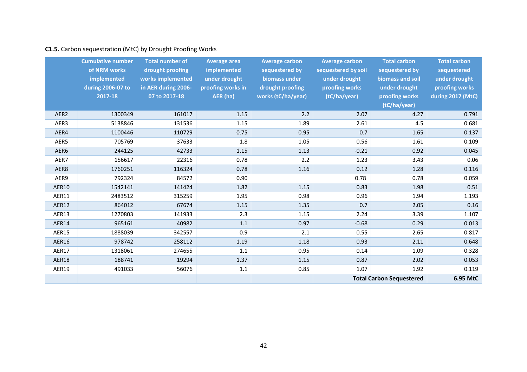### **C1.5.** Carbon sequestration (MtC) by Drought Proofing Works

|                  | <b>Cumulative number</b><br>of NRM works | <b>Total number of</b><br>drought proofing | <b>Average area</b><br>implemented | <b>Average carbon</b><br>sequestered by | <b>Average carbon</b><br>sequestered by soil | <b>Total carbon</b><br>sequestered by | <b>Total carbon</b><br>sequestered |
|------------------|------------------------------------------|--------------------------------------------|------------------------------------|-----------------------------------------|----------------------------------------------|---------------------------------------|------------------------------------|
|                  | implemented                              | works implemented                          | under drought                      | biomass under                           | under drought                                | biomass and soil                      | under drought                      |
|                  | during 2006-07 to                        | in AER during 2006-                        | proofing works in                  | drought proofing                        | proofing works                               | under drought                         | proofing works                     |
|                  | 2017-18                                  | 07 to 2017-18                              | AER (ha)                           | works (tC/ha/year)                      | (tC/ha/year)                                 | proofing works                        | during 2017 (MtC)                  |
|                  |                                          |                                            |                                    |                                         |                                              | (tC/ha/year)                          |                                    |
| AER <sub>2</sub> | 1300349                                  | 161017                                     | 1.15                               | 2.2                                     | 2.07                                         | 4.27                                  | 0.791                              |
| AER3             | 5138846                                  | 131536                                     | 1.15                               | 1.89                                    | 2.61                                         | 4.5                                   | 0.681                              |
| AER4             | 1100446                                  | 110729                                     | 0.75                               | 0.95                                    | 0.7                                          | 1.65                                  | 0.137                              |
| AER5             | 705769                                   | 37633                                      | 1.8                                | 1.05                                    | 0.56                                         | 1.61                                  | 0.109                              |
| AER6             | 244125                                   | 42733                                      | 1.15                               | 1.13                                    | $-0.21$                                      | 0.92                                  | 0.045                              |
| AER7             | 156617                                   | 22316                                      | 0.78                               | 2.2                                     | 1.23                                         | 3.43                                  | 0.06                               |
| AER8             | 1760251                                  | 116324                                     | 0.78                               | 1.16                                    | 0.12                                         | 1.28                                  | 0.116                              |
| AER9             | 792324                                   | 84572                                      | 0.90                               |                                         | 0.78                                         | 0.78                                  | 0.059                              |
| AER10            | 1542141                                  | 141424                                     | 1.82                               | 1.15                                    | 0.83                                         | 1.98                                  | 0.51                               |
| AER11            | 2483512                                  | 315259                                     | 1.95                               | 0.98                                    | 0.96                                         | 1.94                                  | 1.193                              |
| <b>AER12</b>     | 864012                                   | 67674                                      | 1.15                               | 1.35                                    | 0.7                                          | 2.05                                  | 0.16                               |
| AER13            | 1270803                                  | 141933                                     | 2.3                                | 1.15                                    | 2.24                                         | 3.39                                  | 1.107                              |
| AER14            | 965161                                   | 40982                                      | 1.1                                | 0.97                                    | $-0.68$                                      | 0.29                                  | 0.013                              |
| <b>AER15</b>     | 1888039                                  | 342557                                     | 0.9                                | 2.1                                     | 0.55                                         | 2.65                                  | 0.817                              |
| AER16            | 978742                                   | 258112                                     | 1.19                               | 1.18                                    | 0.93                                         | 2.11                                  | 0.648                              |
| AER17            | 1318061                                  | 274655                                     | 1.1                                | 0.95                                    | 0.14                                         | 1.09                                  | 0.328                              |
| AER18            | 188741                                   | 19294                                      | 1.37                               | 1.15                                    | 0.87                                         | 2.02                                  | 0.053                              |
| AER19            | 491033                                   | 56076                                      | $1.1\,$                            | 0.85                                    | 1.07                                         | 1.92                                  | 0.119                              |
|                  |                                          |                                            |                                    |                                         |                                              | <b>Total Carbon Sequestered</b>       | 6.95 MtC                           |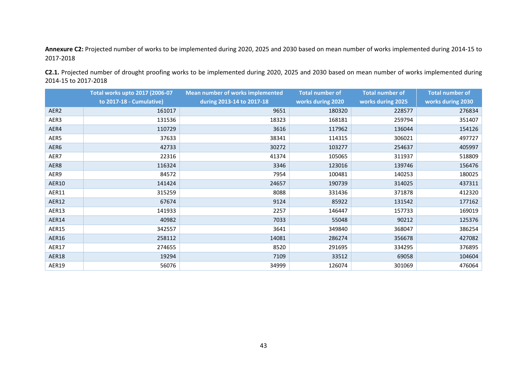**Annexure C2:** Projected number of works to be implemented during 2020, 2025 and 2030 based on mean number of works implemented during 2014-15 to 2017-2018

**Total works upto 2017 (2006-07 to 2017-18 - Cumulative) Mean number of works implemented during 2013-14 to 2017-18 Total number of works during 2020 Total number of works during 2025 Total number of works during 2030** AER2 | 161017 | 9651 | 180320 | 228577 | 276834 AER3 | 131536 | 18323 | 168181 | 259794 | 351407 AER4 | 110729 | 3616 | 117962 | 136044 | 154126 AER5 | 37633 | 38341 | 114315 | 306021 | 497727 AER6 | 42733 | 30272 | 103277 | 254637 | 405997 AER7 | 22316 | 41374 | 105065 | 311937 | 518809 AER8 116324 | 3346 | 123016 | 139746 | 156476 AER9 | 84572 | 7954 | 100481 | 140253 | 180025 AER10 141424 24657 190739 314025 437311 AER11 315259 | 8088 | 331436 | 371878 | 412320 AER12 67674 9124 85922 131542 177162 AER13 141933 | 2257 | 146447 | 157733 | 169019 AER14 | 40982 | 7033 | 55048 | 90212 | 125376 AER15 | 342557 | 3641 | 349840 | 368047 | 386254 AER16 258112 14081 286274 356678 427082 AER17 | 274655 | 8520 | 291695 | 334295 | 376895 AER18 19294 7109 33512 69058 104604 AER19 | 56076 | 34999 | 126074 | 301069 | 476064

**C2.1.** Projected number of drought proofing works to be implemented during 2020, 2025 and 2030 based on mean number of works implemented during 2014-15 to 2017-2018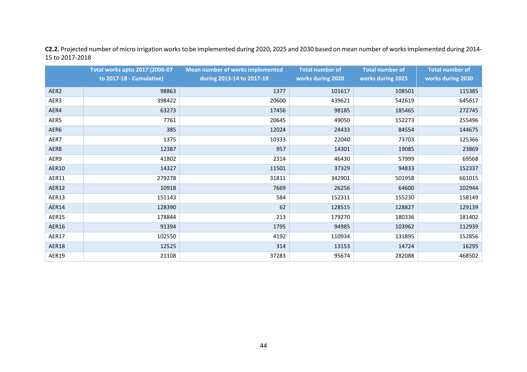**C2.2.** Projected number of micro irrigation works to be implemented during 2020, 2025 and 2030 based on mean number of works implemented during 2014- 15 to 2017-2018

|                  | <b>Total works upto 2017 (2006-07</b> | Mean number of works implemented | <b>Total number of</b> | <b>Total number of</b> | <b>Total number of</b> |
|------------------|---------------------------------------|----------------------------------|------------------------|------------------------|------------------------|
|                  | to 2017-18 - Cumulative)              | during 2013-14 to 2017-18        | works during 2020      | works during 2025      | works during 2030      |
| AER <sub>2</sub> | 98863                                 | 1377                             | 101617                 | 108501                 | 115385                 |
| AER3             | 398422                                | 20600                            | 439621                 | 542619                 | 645617                 |
| AER4             | 63273                                 | 17456                            | 98185                  | 185465                 | 272745                 |
| AER5             | 7761                                  | 20645                            | 49050                  | 152273                 | 255496                 |
| AER6             | 385                                   | 12024                            | 24433                  | 84554                  | 144675                 |
| AER7             | 1375                                  | 10333                            | 22040                  | 73703                  | 125366                 |
| AER8             | 12387                                 | 957                              | 14301                  | 19085                  | 23869                  |
| AER9             | 41802                                 | 2314                             | 46430                  | 57999                  | 69568                  |
| AER10            | 14327                                 | 11501                            | 37329                  | 94833                  | 152337                 |
| AER11            | 279278                                | 31811                            | 342901                 | 501958                 | 661015                 |
| AER12            | 10918                                 | 7669                             | 26256                  | 64600                  | 102944                 |
| AER13            | 151143                                | 584                              | 152311                 | 155230                 | 158149                 |
| AER14            | 128390                                | 62                               | 128515                 | 128827                 | 129139                 |
| AER15            | 178844                                | 213                              | 179270                 | 180336                 | 181402                 |
| AER16            | 91394                                 | 1795                             | 94985                  | 103962                 | 112939                 |
| AER17            | 102550                                | 4192                             | 110934                 | 131895                 | 152856                 |
| AER18            | 12525                                 | 314                              | 13153                  | 14724                  | 16295                  |
| AER19            | 21108                                 | 37283                            | 95674                  | 282088                 | 468502                 |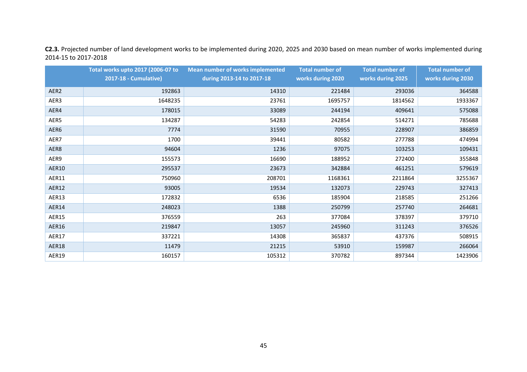**C2.3.** Projected number of land development works to be implemented during 2020, 2025 and 2030 based on mean number of works implemented during 2014-15 to 2017-2018

|                  | Total works upto 2017 (2006-07 to | Mean number of works implemented | <b>Total number of</b> | <b>Total number of</b> | <b>Total number of</b> |
|------------------|-----------------------------------|----------------------------------|------------------------|------------------------|------------------------|
|                  | 2017-18 - Cumulative)             | during 2013-14 to 2017-18        | works during 2020      | works during 2025      | works during 2030      |
| AER <sub>2</sub> | 192863                            | 14310                            | 221484                 | 293036                 | 364588                 |
| AER3             | 1648235                           | 23761                            | 1695757                | 1814562                | 1933367                |
| AER4             | 178015                            | 33089                            | 244194                 | 409641                 | 575088                 |
| AER5             | 134287                            | 54283                            | 242854                 | 514271                 | 785688                 |
| AER6             | 7774                              | 31590                            | 70955                  | 228907                 | 386859                 |
| AER7             | 1700                              | 39441                            | 80582                  | 277788                 | 474994                 |
| AER8             | 94604                             | 1236                             | 97075                  | 103253                 | 109431                 |
| AER9             | 155573                            | 16690                            | 188952                 | 272400                 | 355848                 |
| AER10            | 295537                            | 23673                            | 342884                 | 461251                 | 579619                 |
| AER11            | 750960                            | 208701                           | 1168361                | 2211864                | 3255367                |
| <b>AER12</b>     | 93005                             | 19534                            | 132073                 | 229743                 | 327413                 |
| AER13            | 172832                            | 6536                             | 185904                 | 218585                 | 251266                 |
| AER14            | 248023                            | 1388                             | 250799                 | 257740                 | 264681                 |
| <b>AER15</b>     | 376559                            | 263                              | 377084                 | 378397                 | 379710                 |
| AER16            | 219847                            | 13057                            | 245960                 | 311243                 | 376526                 |
| <b>AER17</b>     | 337221                            | 14308                            | 365837                 | 437376                 | 508915                 |
| AER18            | 11479                             | 21215                            | 53910                  | 159987                 | 266064                 |
| <b>AER19</b>     | 160157                            | 105312                           | 370782                 | 897344                 | 1423906                |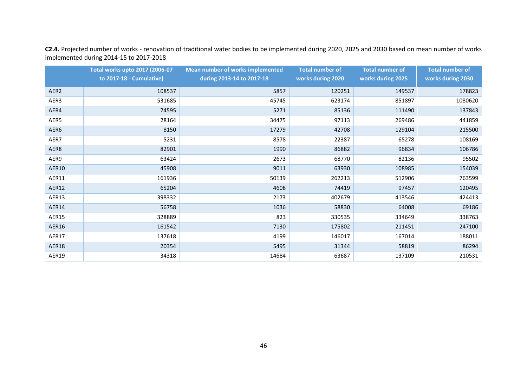**C2.4.** Projected number of works - renovation of traditional water bodies to be implemented during 2020, 2025 and 2030 based on mean number of works implemented during 2014-15 to 2017-2018

|              | Total works upto 2017 (2006-07 | <b>Mean number of works implemented</b> | <b>Total number of</b> | <b>Total number of</b> | <b>Total number of</b> |
|--------------|--------------------------------|-----------------------------------------|------------------------|------------------------|------------------------|
|              | to 2017-18 - Cumulative)       | during 2013-14 to 2017-18               | works during 2020      | works during 2025      | works during 2030      |
| AER2         | 108537                         | 5857                                    | 120251                 | 149537                 | 178823                 |
| AER3         | 531685                         | 45745                                   | 623174                 | 851897                 | 1080620                |
| AER4         | 74595                          | 5271                                    | 85136                  | 111490                 | 137843                 |
| AER5         | 28164                          | 34475                                   | 97113                  | 269486                 | 441859                 |
| AER6         | 8150                           | 17279                                   | 42708                  | 129104                 | 215500                 |
| AER7         | 5231                           | 8578                                    | 22387                  | 65278                  | 108169                 |
| AER8         | 82901                          | 1990                                    | 86882                  | 96834                  | 106786                 |
| AER9         | 63424                          | 2673                                    | 68770                  | 82136                  | 95502                  |
| AER10        | 45908                          | 9011                                    | 63930                  | 108985                 | 154039                 |
| AER11        | 161936                         | 50139                                   | 262213                 | 512906                 | 763599                 |
| AER12        | 65204                          | 4608                                    | 74419                  | 97457                  | 120495                 |
| AER13        | 398332                         | 2173                                    | 402679                 | 413546                 | 424413                 |
| AER14        | 56758                          | 1036                                    | 58830                  | 64008                  | 69186                  |
| AER15        | 328889                         | 823                                     | 330535                 | 334649                 | 338763                 |
| AER16        | 161542                         | 7130                                    | 175802                 | 211451                 | 247100                 |
| <b>AER17</b> | 137618                         | 4199                                    | 146017                 | 167014                 | 188011                 |
| AER18        | 20354                          | 5495                                    | 31344                  | 58819                  | 86294                  |
| AER19        | 34318                          | 14684                                   | 63687                  | 137109                 | 210531                 |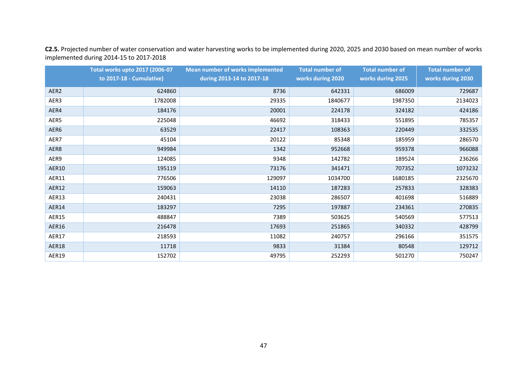**C2.5.** Projected number of water conservation and water harvesting works to be implemented during 2020, 2025 and 2030 based on mean number of works implemented during 2014-15 to 2017-2018

|                  | Total works upto 2017 (2006-07 | <b>Mean number of works implemented</b> | <b>Total number of</b> | <b>Total number of</b> | <b>Total number of</b> |
|------------------|--------------------------------|-----------------------------------------|------------------------|------------------------|------------------------|
|                  | to 2017-18 - Cumulative)       | during 2013-14 to 2017-18               | works during 2020      | works during 2025      | works during 2030      |
| AER <sub>2</sub> | 624860                         | 8736                                    | 642331                 | 686009                 | 729687                 |
| AER3             | 1782008                        | 29335                                   | 1840677                | 1987350                | 2134023                |
| AER4             | 184176                         | 20001                                   | 224178                 | 324182                 | 424186                 |
| AER5             | 225048                         | 46692                                   | 318433                 | 551895                 | 785357                 |
| AER6             | 63529                          | 22417                                   | 108363                 | 220449                 | 332535                 |
| AER7             | 45104                          | 20122                                   | 85348                  | 185959                 | 286570                 |
| AER8             | 949984                         | 1342                                    | 952668                 | 959378                 | 966088                 |
| AER9             | 124085                         | 9348                                    | 142782                 | 189524                 | 236266                 |
| AER10            | 195119                         | 73176                                   | 341471                 | 707352                 | 1073232                |
| AER11            | 776506                         | 129097                                  | 1034700                | 1680185                | 2325670                |
| AER12            | 159063                         | 14110                                   | 187283                 | 257833                 | 328383                 |
| <b>AER13</b>     | 240431                         | 23038                                   | 286507                 | 401698                 | 516889                 |
| AER14            | 183297                         | 7295                                    | 197887                 | 234361                 | 270835                 |
| AER15            | 488847                         | 7389                                    | 503625                 | 540569                 | 577513                 |
| AER16            | 216478                         | 17693                                   | 251865                 | 340332                 | 428799                 |
| <b>AER17</b>     | 218593                         | 11082                                   | 240757                 | 296166                 | 351575                 |
| AER18            | 11718                          | 9833                                    | 31384                  | 80548                  | 129712                 |
| AER19            | 152702                         | 49795                                   | 252293                 | 501270                 | 750247                 |